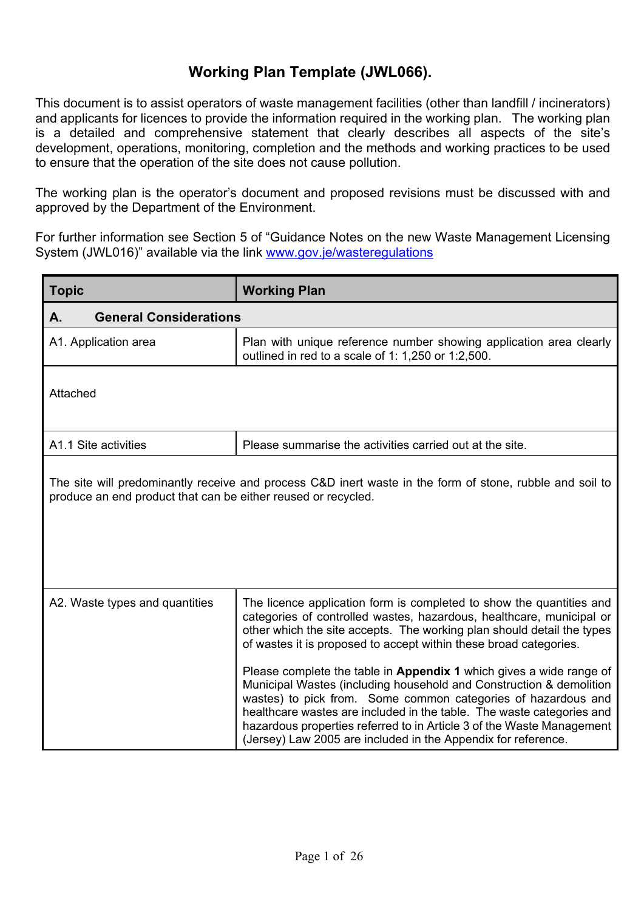This document is to assist operators of waste management facilities (other than landfill / incinerators) and applicants for licences to provide the information required in the working plan. The working plan is a detailed and comprehensive statement that clearly describes all aspects of the site's development, operations, monitoring, completion and the methods and working practices to be used to ensure that the operation of the site does not cause pollution.

The working plan is the operator's document and proposed revisions must be discussed with and approved by the Department of the Environment.

For further information see Section 5 of "Guidance Notes on the new Waste Management Licensing System (JWL016)" available via the link www.gov.je/wasteregulations

| <b>Topic</b>                                                                                                                                                              | <b>Working Plan</b>                                                                                                                                                                                                                                                                                                                                                                                                            |
|---------------------------------------------------------------------------------------------------------------------------------------------------------------------------|--------------------------------------------------------------------------------------------------------------------------------------------------------------------------------------------------------------------------------------------------------------------------------------------------------------------------------------------------------------------------------------------------------------------------------|
| <b>General Considerations</b><br>А.                                                                                                                                       |                                                                                                                                                                                                                                                                                                                                                                                                                                |
| A1. Application area                                                                                                                                                      | Plan with unique reference number showing application area clearly<br>outlined in red to a scale of 1: 1,250 or 1:2,500.                                                                                                                                                                                                                                                                                                       |
| Attached                                                                                                                                                                  |                                                                                                                                                                                                                                                                                                                                                                                                                                |
| A1.1 Site activities                                                                                                                                                      | Please summarise the activities carried out at the site.                                                                                                                                                                                                                                                                                                                                                                       |
| The site will predominantly receive and process C&D inert waste in the form of stone, rubble and soil to<br>produce an end product that can be either reused or recycled. |                                                                                                                                                                                                                                                                                                                                                                                                                                |
| A2. Waste types and quantities                                                                                                                                            | The licence application form is completed to show the quantities and<br>categories of controlled wastes, hazardous, healthcare, municipal or<br>other which the site accepts. The working plan should detail the types<br>of wastes it is proposed to accept within these broad categories.                                                                                                                                    |
|                                                                                                                                                                           | Please complete the table in Appendix 1 which gives a wide range of<br>Municipal Wastes (including household and Construction & demolition<br>wastes) to pick from. Some common categories of hazardous and<br>healthcare wastes are included in the table. The waste categories and<br>hazardous properties referred to in Article 3 of the Waste Management<br>(Jersey) Law 2005 are included in the Appendix for reference. |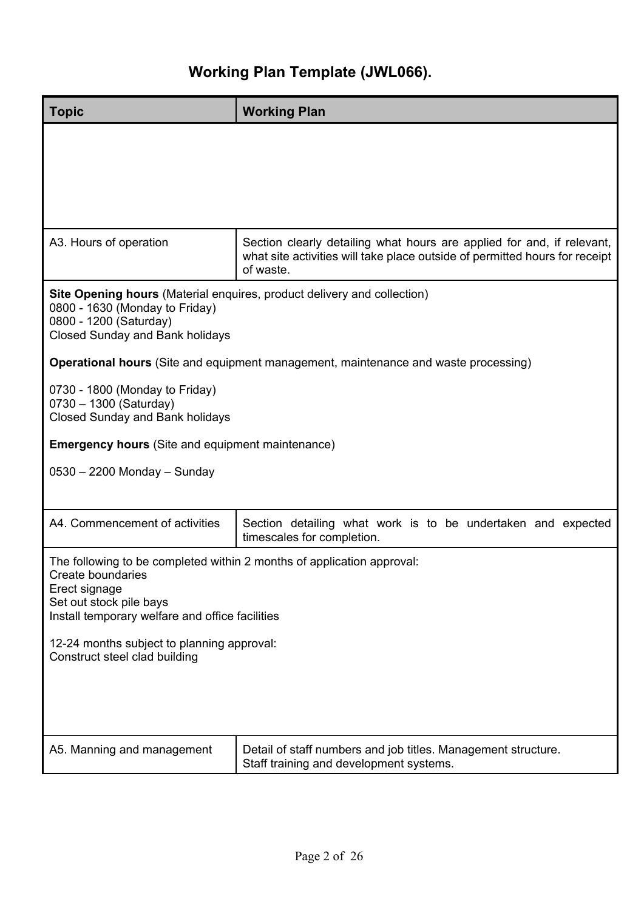| <b>Topic</b>                                                                                                                                                                               | <b>Working Plan</b>                                                                                                                                                |
|--------------------------------------------------------------------------------------------------------------------------------------------------------------------------------------------|--------------------------------------------------------------------------------------------------------------------------------------------------------------------|
|                                                                                                                                                                                            |                                                                                                                                                                    |
| A3. Hours of operation                                                                                                                                                                     | Section clearly detailing what hours are applied for and, if relevant,<br>what site activities will take place outside of permitted hours for receipt<br>of waste. |
| 0800 - 1630 (Monday to Friday)<br>0800 - 1200 (Saturday)<br><b>Closed Sunday and Bank holidays</b>                                                                                         | <b>Site Opening hours</b> (Material enquires, product delivery and collection)                                                                                     |
|                                                                                                                                                                                            | <b>Operational hours</b> (Site and equipment management, maintenance and waste processing)                                                                         |
| 0730 - 1800 (Monday to Friday)<br>0730 - 1300 (Saturday)<br><b>Closed Sunday and Bank holidays</b>                                                                                         |                                                                                                                                                                    |
| <b>Emergency hours</b> (Site and equipment maintenance)                                                                                                                                    |                                                                                                                                                                    |
| 0530 - 2200 Monday - Sunday                                                                                                                                                                |                                                                                                                                                                    |
| A4. Commencement of activities                                                                                                                                                             | Section detailing what work is to be undertaken and expected<br>timescales for completion.                                                                         |
| The following to be completed within 2 months of application approval:<br>Create boundaries<br>Erect signage<br>Set out stock pile bays<br>Install temporary welfare and office facilities |                                                                                                                                                                    |
| 12-24 months subject to planning approval:<br>Construct steel clad building                                                                                                                |                                                                                                                                                                    |
| A5. Manning and management                                                                                                                                                                 | Detail of staff numbers and job titles. Management structure.<br>Staff training and development systems.                                                           |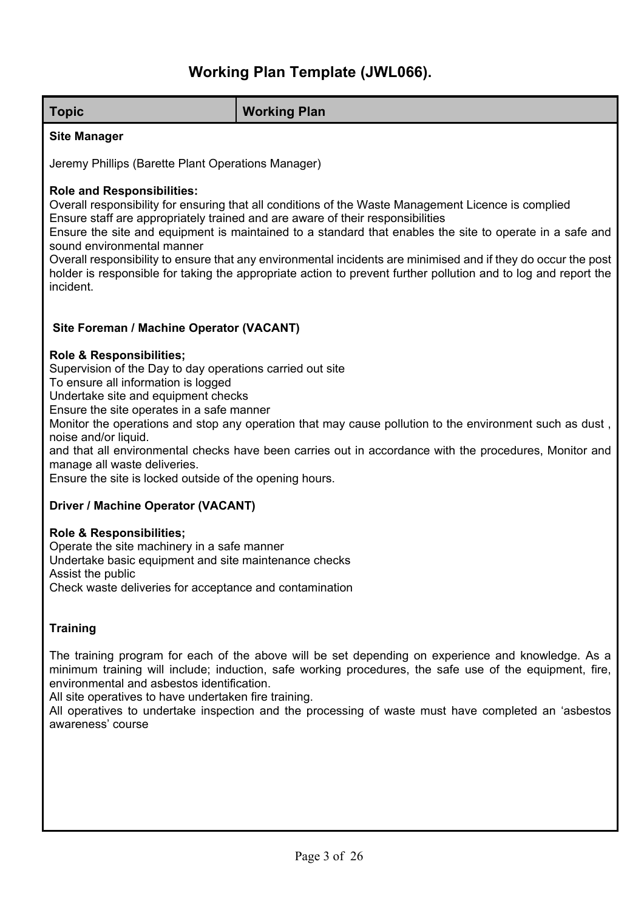| <b>Topic</b>                                                                                                                                                                                                                                                                                                                                                                                                                                                                                                                                                                                                         | <b>Working Plan</b>                                                                                                                                                                                                                                                                                                  |
|----------------------------------------------------------------------------------------------------------------------------------------------------------------------------------------------------------------------------------------------------------------------------------------------------------------------------------------------------------------------------------------------------------------------------------------------------------------------------------------------------------------------------------------------------------------------------------------------------------------------|----------------------------------------------------------------------------------------------------------------------------------------------------------------------------------------------------------------------------------------------------------------------------------------------------------------------|
| <b>Site Manager</b>                                                                                                                                                                                                                                                                                                                                                                                                                                                                                                                                                                                                  |                                                                                                                                                                                                                                                                                                                      |
|                                                                                                                                                                                                                                                                                                                                                                                                                                                                                                                                                                                                                      |                                                                                                                                                                                                                                                                                                                      |
| Jeremy Phillips (Barette Plant Operations Manager)                                                                                                                                                                                                                                                                                                                                                                                                                                                                                                                                                                   |                                                                                                                                                                                                                                                                                                                      |
| <b>Role and Responsibilities:</b><br>Overall responsibility for ensuring that all conditions of the Waste Management Licence is complied<br>Ensure staff are appropriately trained and are aware of their responsibilities<br>Ensure the site and equipment is maintained to a standard that enables the site to operate in a safe and<br>sound environmental manner<br>Overall responsibility to ensure that any environmental incidents are minimised and if they do occur the post<br>holder is responsible for taking the appropriate action to prevent further pollution and to log and report the<br>incident. |                                                                                                                                                                                                                                                                                                                      |
| Site Foreman / Machine Operator (VACANT)                                                                                                                                                                                                                                                                                                                                                                                                                                                                                                                                                                             |                                                                                                                                                                                                                                                                                                                      |
| Role & Responsibilities;<br>Supervision of the Day to day operations carried out site<br>To ensure all information is logged<br>Undertake site and equipment checks<br>Ensure the site operates in a safe manner<br>Monitor the operations and stop any operation that may cause pollution to the environment such as dust,<br>noise and/or liquid.<br>and that all environmental checks have been carries out in accordance with the procedures, Monitor and<br>manage all waste deliveries.<br>Ensure the site is locked outside of the opening hours.                                                             |                                                                                                                                                                                                                                                                                                                      |
| <b>Driver / Machine Operator (VACANT)</b>                                                                                                                                                                                                                                                                                                                                                                                                                                                                                                                                                                            |                                                                                                                                                                                                                                                                                                                      |
| Role & Responsibilities;<br>Operate the site machinery in a safe manner<br>Undertake basic equipment and site maintenance checks<br>Assist the public<br>Check waste deliveries for acceptance and contamination                                                                                                                                                                                                                                                                                                                                                                                                     |                                                                                                                                                                                                                                                                                                                      |
| <b>Training</b>                                                                                                                                                                                                                                                                                                                                                                                                                                                                                                                                                                                                      |                                                                                                                                                                                                                                                                                                                      |
| environmental and asbestos identification.<br>All site operatives to have undertaken fire training.<br>awareness' course                                                                                                                                                                                                                                                                                                                                                                                                                                                                                             | The training program for each of the above will be set depending on experience and knowledge. As a<br>minimum training will include; induction, safe working procedures, the safe use of the equipment, fire,<br>All operatives to undertake inspection and the processing of waste must have completed an 'asbestos |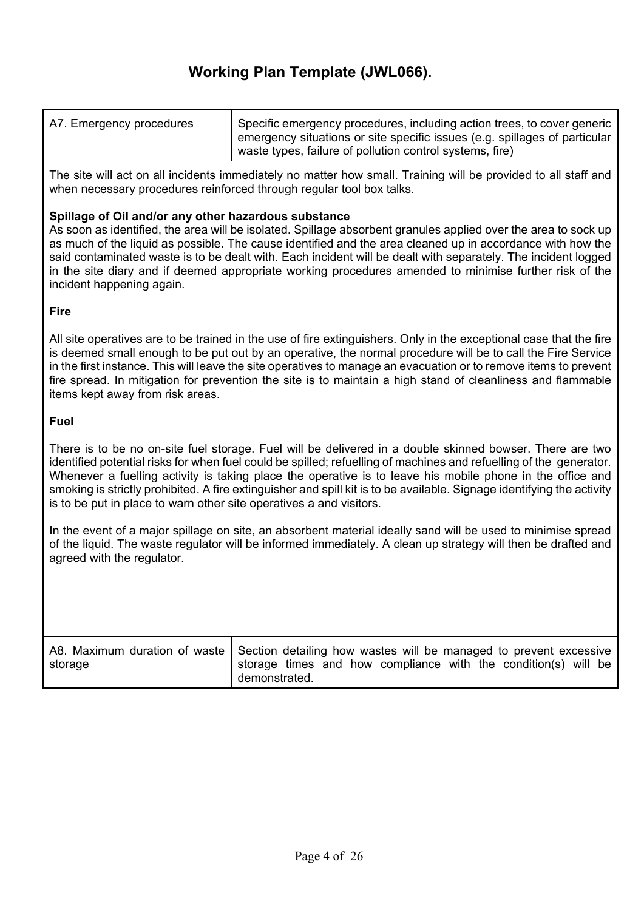| A7. Emergency procedures | Specific emergency procedures, including action trees, to cover generic    |
|--------------------------|----------------------------------------------------------------------------|
|                          | emergency situations or site specific issues (e.g. spillages of particular |
|                          | waste types, failure of pollution control systems, fire)                   |

The site will act on all incidents immediately no matter how small. Training will be provided to all staff and when necessary procedures reinforced through regular tool box talks.

#### **Spillage of Oil and/or any other hazardous substance**

As soon as identified, the area will be isolated. Spillage absorbent granules applied over the area to sock up as much of the liquid as possible. The cause identified and the area cleaned up in accordance with how the said contaminated waste is to be dealt with. Each incident will be dealt with separately. The incident logged in the site diary and if deemed appropriate working procedures amended to minimise further risk of the incident happening again.

**Fire**

All site operatives are to be trained in the use of fire extinguishers. Only in the exceptional case that the fire is deemed small enough to be put out by an operative, the normal procedure will be to call the Fire Service in the first instance. This will leave the site operatives to manage an evacuation or to remove items to prevent fire spread. In mitigation for prevention the site is to maintain a high stand of cleanliness and flammable items kept away from risk areas.

#### **Fuel**

There is to be no on-site fuel storage. Fuel will be delivered in a double skinned bowser. There are two identified potential risks for when fuel could be spilled; refuelling of machines and refuelling of the generator. Whenever a fuelling activity is taking place the operative is to leave his mobile phone in the office and smoking is strictly prohibited. A fire extinguisher and spill kit is to be available. Signage identifying the activity is to be put in place to warn other site operatives a and visitors.

In the event of a major spillage on site, an absorbent material ideally sand will be used to minimise spread of the liquid. The waste regulator will be informed immediately. A clean up strategy will then be drafted and agreed with the regulator.

| storage | A8. Maximum duration of waste   Section detailing how wastes will be managed to prevent excessive<br>storage times and how compliance with the condition(s) will be |
|---------|---------------------------------------------------------------------------------------------------------------------------------------------------------------------|
|         | demonstrated.                                                                                                                                                       |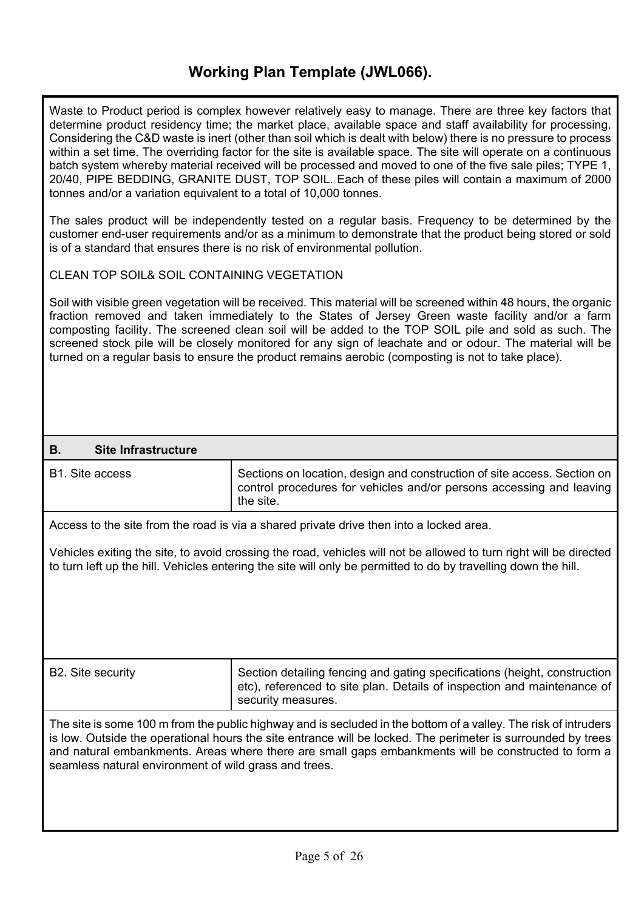Waste to Product period is complex however relatively easy to manage. There are three key factors that determine product residency time; the market place, available space and staff availability for processing. Considering the C&D waste is inert (other than soil which is dealt with below) there is no pressure to process within a set time. The overriding factor for the site is available space. The site will operate on a continuous batch system whereby material received will be processed and moved to one of the five sale piles; TYPE 1, 20/40, PIPE BEDDING, GRANITE DUST, TOP SOIL. Each of these piles will contain a maximum of 2000 tonnes and/or a variation equivalent to a total of 10,000 tonnes.

The sales product will be independently tested on a regular basis. Frequency to be determined by the customer end-user requirements and/or as a minimum to demonstrate that the product being stored or sold is of a standard that ensures there is no risk of environmental pollution.

CLEAN TOP SOIL& SOIL CONTAINING VEGETATION

Soil with visible green vegetation will be received. This material will be screened within 48 hours, the organic fraction removed and taken immediately to the States of Jersey Green waste facility and/or a farm composting facility. The screened clean soil will be added to the TOP SOIL pile and sold as such. The screened stock pile will be closely monitored for any sign of leachate and or odour. The material will be turned on a regular basis to ensure the product remains aerobic (composting is not to take place).

#### **B. Site Infrastructure**

B1. Site access Sections on location, design and construction of site access. Section on control procedures for vehicles and/or persons accessing and leaving the site.

Access to the site from the road is via a shared private drive then into a locked area.

Vehicles exiting the site, to avoid crossing the road, vehicles will not be allowed to turn right will be directed to turn left up the hill. Vehicles entering the site will only be permitted to do by travelling down the hill.

| <b>B2. Site security</b> | Section detailing fencing and gating specifications (height, construction<br>etc), referenced to site plan. Details of inspection and maintenance of |
|--------------------------|------------------------------------------------------------------------------------------------------------------------------------------------------|
|                          | security measures.                                                                                                                                   |

The site is some 100 m from the public highway and is secluded in the bottom of a valley. The risk of intruders is low. Outside the operational hours the site entrance will be locked. The perimeter is surrounded by trees and natural embankments. Areas where there are small gaps embankments will be constructed to form a seamless natural environment of wild grass and trees.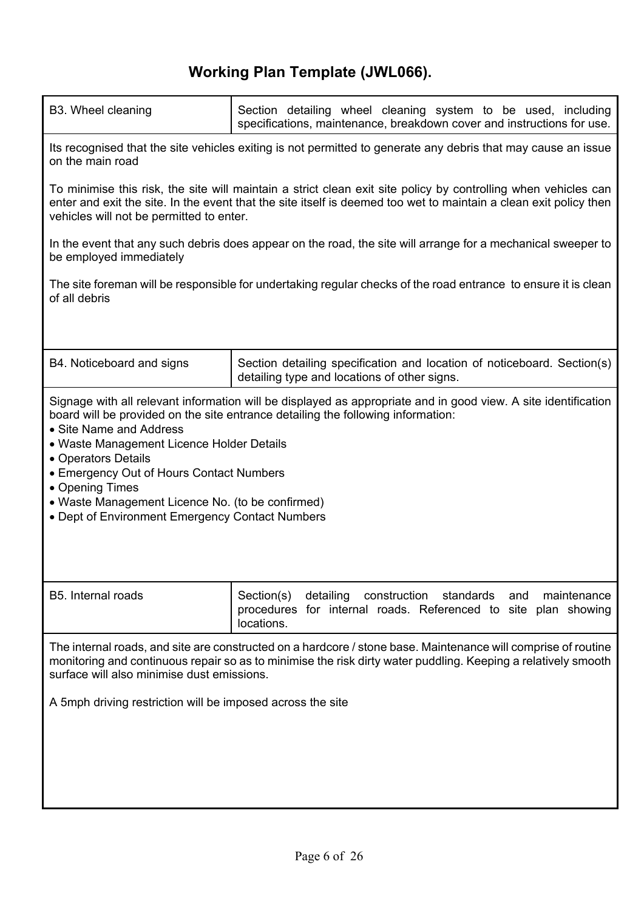| B3. Wheel cleaning                                                                                                                                                                                                                                                           | Section detailing wheel cleaning system to be used, including<br>specifications, maintenance, breakdown cover and instructions for use.                                                                                             |
|------------------------------------------------------------------------------------------------------------------------------------------------------------------------------------------------------------------------------------------------------------------------------|-------------------------------------------------------------------------------------------------------------------------------------------------------------------------------------------------------------------------------------|
| on the main road                                                                                                                                                                                                                                                             | Its recognised that the site vehicles exiting is not permitted to generate any debris that may cause an issue                                                                                                                       |
| vehicles will not be permitted to enter.                                                                                                                                                                                                                                     | To minimise this risk, the site will maintain a strict clean exit site policy by controlling when vehicles can<br>enter and exit the site. In the event that the site itself is deemed too wet to maintain a clean exit policy then |
| be employed immediately                                                                                                                                                                                                                                                      | In the event that any such debris does appear on the road, the site will arrange for a mechanical sweeper to                                                                                                                        |
| The site foreman will be responsible for undertaking regular checks of the road entrance to ensure it is clean<br>of all debris                                                                                                                                              |                                                                                                                                                                                                                                     |
|                                                                                                                                                                                                                                                                              |                                                                                                                                                                                                                                     |
| B4. Noticeboard and signs                                                                                                                                                                                                                                                    | Section detailing specification and location of noticeboard. Section(s)<br>detailing type and locations of other signs.                                                                                                             |
| • Site Name and Address<br>• Waste Management Licence Holder Details<br>• Operators Details<br>• Emergency Out of Hours Contact Numbers<br>• Opening Times<br>• Waste Management Licence No. (to be confirmed)<br>• Dept of Environment Emergency Contact Numbers            | Signage with all relevant information will be displayed as appropriate and in good view. A site identification<br>board will be provided on the site entrance detailing the following information:                                  |
| B5. Internal roads                                                                                                                                                                                                                                                           | Section(s)<br>detailing<br>construction standards<br>and<br>maintenance<br>procedures for internal roads. Referenced to site plan showing<br>locations.                                                                             |
| The internal roads, and site are constructed on a hardcore / stone base. Maintenance will comprise of routine<br>monitoring and continuous repair so as to minimise the risk dirty water puddling. Keeping a relatively smooth<br>surface will also minimise dust emissions. |                                                                                                                                                                                                                                     |
| A 5mph driving restriction will be imposed across the site                                                                                                                                                                                                                   |                                                                                                                                                                                                                                     |
|                                                                                                                                                                                                                                                                              |                                                                                                                                                                                                                                     |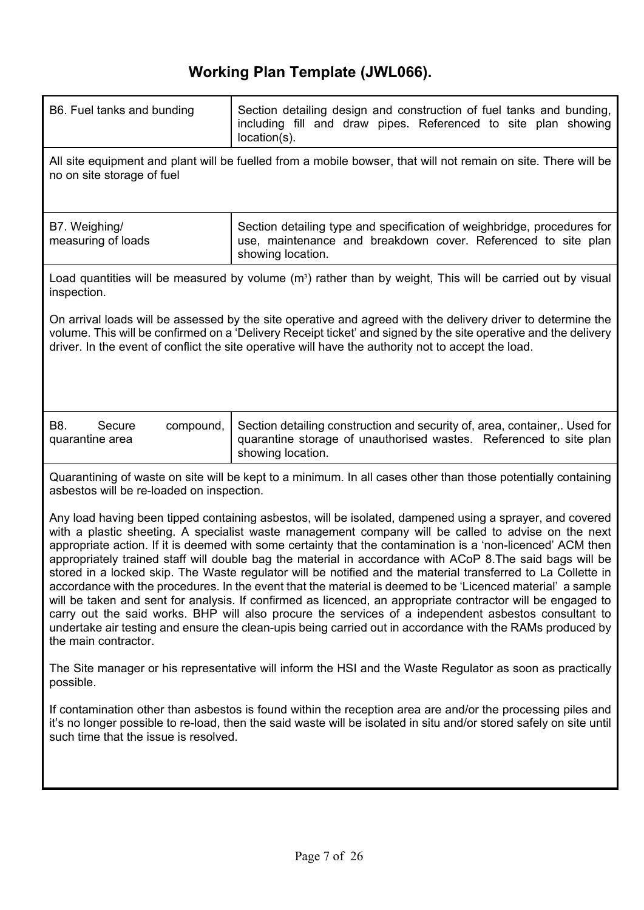| B6. Fuel tanks and bunding                                                                                                                                                                                                                                                                                                                                                                                                                                                                                                                                                                                                                                                                                                                                                                                                                                                                                                                                                                                                             | Section detailing design and construction of fuel tanks and bunding,<br>including fill and draw pipes. Referenced to site plan showing<br>$location(s)$ .             |  |
|----------------------------------------------------------------------------------------------------------------------------------------------------------------------------------------------------------------------------------------------------------------------------------------------------------------------------------------------------------------------------------------------------------------------------------------------------------------------------------------------------------------------------------------------------------------------------------------------------------------------------------------------------------------------------------------------------------------------------------------------------------------------------------------------------------------------------------------------------------------------------------------------------------------------------------------------------------------------------------------------------------------------------------------|-----------------------------------------------------------------------------------------------------------------------------------------------------------------------|--|
| no on site storage of fuel                                                                                                                                                                                                                                                                                                                                                                                                                                                                                                                                                                                                                                                                                                                                                                                                                                                                                                                                                                                                             | All site equipment and plant will be fuelled from a mobile bowser, that will not remain on site. There will be                                                        |  |
| B7. Weighing/<br>measuring of loads                                                                                                                                                                                                                                                                                                                                                                                                                                                                                                                                                                                                                                                                                                                                                                                                                                                                                                                                                                                                    | Section detailing type and specification of weighbridge, procedures for<br>use, maintenance and breakdown cover. Referenced to site plan<br>showing location.         |  |
| inspection.                                                                                                                                                                                                                                                                                                                                                                                                                                                                                                                                                                                                                                                                                                                                                                                                                                                                                                                                                                                                                            | Load quantities will be measured by volume $(m3)$ rather than by weight, This will be carried out by visual                                                           |  |
| On arrival loads will be assessed by the site operative and agreed with the delivery driver to determine the<br>volume. This will be confirmed on a 'Delivery Receipt ticket' and signed by the site operative and the delivery<br>driver. In the event of conflict the site operative will have the authority not to accept the load.                                                                                                                                                                                                                                                                                                                                                                                                                                                                                                                                                                                                                                                                                                 |                                                                                                                                                                       |  |
| B8.<br>compound,<br>Secure<br>quarantine area                                                                                                                                                                                                                                                                                                                                                                                                                                                                                                                                                                                                                                                                                                                                                                                                                                                                                                                                                                                          | Section detailing construction and security of, area, container,. Used for<br>quarantine storage of unauthorised wastes. Referenced to site plan<br>showing location. |  |
| asbestos will be re-loaded on inspection.                                                                                                                                                                                                                                                                                                                                                                                                                                                                                                                                                                                                                                                                                                                                                                                                                                                                                                                                                                                              | Quarantining of waste on site will be kept to a minimum. In all cases other than those potentially containing                                                         |  |
| Any load having been tipped containing asbestos, will be isolated, dampened using a sprayer, and covered<br>with a plastic sheeting. A specialist waste management company will be called to advise on the next<br>appropriate action. If it is deemed with some certainty that the contamination is a 'non-licenced' ACM then<br>appropriately trained staff will double bag the material in accordance with ACoP 8. The said bags will be<br>stored in a locked skip. The Waste regulator will be notified and the material transferred to La Collette in<br>accordance with the procedures. In the event that the material is deemed to be 'Licenced material' a sample<br>will be taken and sent for analysis. If confirmed as licenced, an appropriate contractor will be engaged to<br>carry out the said works. BHP will also procure the services of a independent asbestos consultant to<br>undertake air testing and ensure the clean-upis being carried out in accordance with the RAMs produced by<br>the main contractor. |                                                                                                                                                                       |  |
| The Site manager or his representative will inform the HSI and the Waste Regulator as soon as practically<br>possible.                                                                                                                                                                                                                                                                                                                                                                                                                                                                                                                                                                                                                                                                                                                                                                                                                                                                                                                 |                                                                                                                                                                       |  |
| If contamination other than asbestos is found within the reception area are and/or the processing piles and<br>it's no longer possible to re-load, then the said waste will be isolated in situ and/or stored safely on site until<br>such time that the issue is resolved.                                                                                                                                                                                                                                                                                                                                                                                                                                                                                                                                                                                                                                                                                                                                                            |                                                                                                                                                                       |  |
|                                                                                                                                                                                                                                                                                                                                                                                                                                                                                                                                                                                                                                                                                                                                                                                                                                                                                                                                                                                                                                        |                                                                                                                                                                       |  |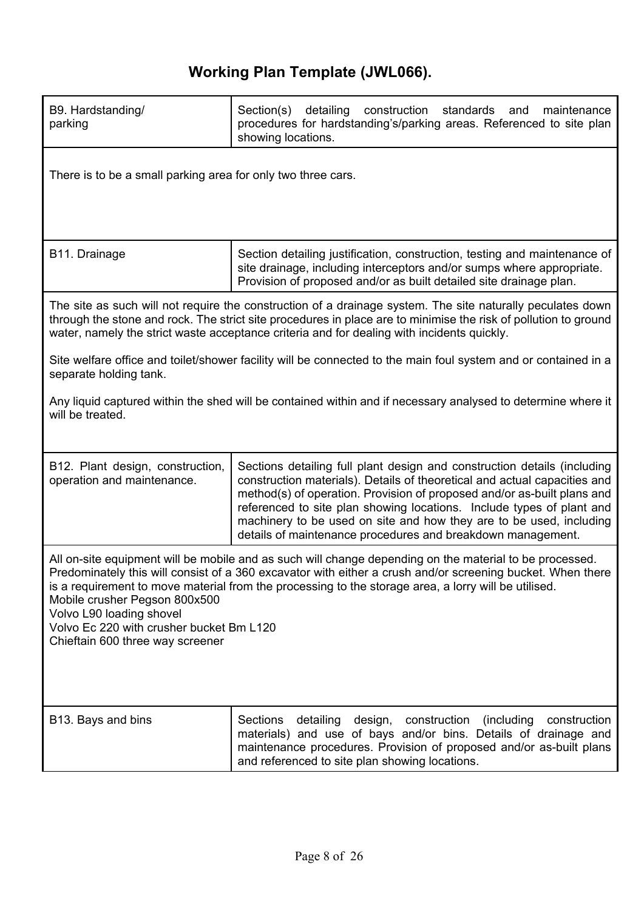| B9. Hardstanding/<br>parking                                                                                                                                                                                                                                                                                                                                                                                                                                               | Section(s) detailing construction<br>standards and<br>maintenance<br>procedures for hardstanding's/parking areas. Referenced to site plan<br>showing locations.                                                                                                                                                                                                                                                                                 |
|----------------------------------------------------------------------------------------------------------------------------------------------------------------------------------------------------------------------------------------------------------------------------------------------------------------------------------------------------------------------------------------------------------------------------------------------------------------------------|-------------------------------------------------------------------------------------------------------------------------------------------------------------------------------------------------------------------------------------------------------------------------------------------------------------------------------------------------------------------------------------------------------------------------------------------------|
| There is to be a small parking area for only two three cars.                                                                                                                                                                                                                                                                                                                                                                                                               |                                                                                                                                                                                                                                                                                                                                                                                                                                                 |
| B11. Drainage                                                                                                                                                                                                                                                                                                                                                                                                                                                              | Section detailing justification, construction, testing and maintenance of<br>site drainage, including interceptors and/or sumps where appropriate.<br>Provision of proposed and/or as built detailed site drainage plan.                                                                                                                                                                                                                        |
|                                                                                                                                                                                                                                                                                                                                                                                                                                                                            | The site as such will not require the construction of a drainage system. The site naturally peculates down<br>through the stone and rock. The strict site procedures in place are to minimise the risk of pollution to ground<br>water, namely the strict waste acceptance criteria and for dealing with incidents quickly.                                                                                                                     |
| separate holding tank.                                                                                                                                                                                                                                                                                                                                                                                                                                                     | Site welfare office and toilet/shower facility will be connected to the main foul system and or contained in a                                                                                                                                                                                                                                                                                                                                  |
| will be treated.                                                                                                                                                                                                                                                                                                                                                                                                                                                           | Any liquid captured within the shed will be contained within and if necessary analysed to determine where it                                                                                                                                                                                                                                                                                                                                    |
| B12. Plant design, construction,<br>operation and maintenance.                                                                                                                                                                                                                                                                                                                                                                                                             | Sections detailing full plant design and construction details (including<br>construction materials). Details of theoretical and actual capacities and<br>method(s) of operation. Provision of proposed and/or as-built plans and<br>referenced to site plan showing locations. Include types of plant and<br>machinery to be used on site and how they are to be used, including<br>details of maintenance procedures and breakdown management. |
| All on-site equipment will be mobile and as such will change depending on the material to be processed.<br>Predominately this will consist of a 360 excavator with either a crush and/or screening bucket. When there<br>is a requirement to move material from the processing to the storage area, a lorry will be utilised.<br>Mobile crusher Pegson 800x500<br>Volvo L90 loading shovel<br>Volvo Ec 220 with crusher bucket Bm L120<br>Chieftain 600 three way screener |                                                                                                                                                                                                                                                                                                                                                                                                                                                 |
| B13. Bays and bins                                                                                                                                                                                                                                                                                                                                                                                                                                                         | Sections<br>construction<br>(including)<br>detailing<br>design,<br>construction<br>materials) and use of bays and/or bins. Details of drainage and<br>maintenance procedures. Provision of proposed and/or as-built plans<br>and referenced to site plan showing locations.                                                                                                                                                                     |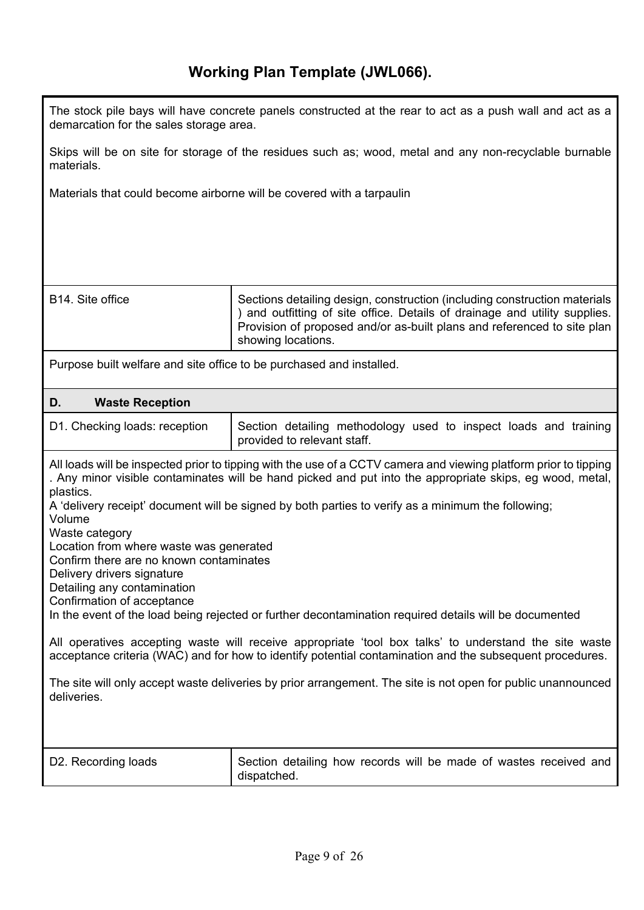demarcation for the sales storage area.

The stock pile bays will have concrete panels constructed at the rear to act as a push wall and act as a

| Skips will be on site for storage of the residues such as; wood, metal and any non-recyclable burnable<br>materials.                                                                                                                  |                                                                                                                                                                                                                                                                                                                                                                                                                                                                                                                                                                                                                                                                                                                                                                                   |
|---------------------------------------------------------------------------------------------------------------------------------------------------------------------------------------------------------------------------------------|-----------------------------------------------------------------------------------------------------------------------------------------------------------------------------------------------------------------------------------------------------------------------------------------------------------------------------------------------------------------------------------------------------------------------------------------------------------------------------------------------------------------------------------------------------------------------------------------------------------------------------------------------------------------------------------------------------------------------------------------------------------------------------------|
| Materials that could become airborne will be covered with a tarpaulin                                                                                                                                                                 |                                                                                                                                                                                                                                                                                                                                                                                                                                                                                                                                                                                                                                                                                                                                                                                   |
| B14. Site office                                                                                                                                                                                                                      | Sections detailing design, construction (including construction materials<br>and outfitting of site office. Details of drainage and utility supplies.<br>Provision of proposed and/or as-built plans and referenced to site plan<br>showing locations.                                                                                                                                                                                                                                                                                                                                                                                                                                                                                                                            |
| Purpose built welfare and site office to be purchased and installed.                                                                                                                                                                  |                                                                                                                                                                                                                                                                                                                                                                                                                                                                                                                                                                                                                                                                                                                                                                                   |
| D.<br><b>Waste Reception</b>                                                                                                                                                                                                          |                                                                                                                                                                                                                                                                                                                                                                                                                                                                                                                                                                                                                                                                                                                                                                                   |
| D1. Checking loads: reception                                                                                                                                                                                                         | Section detailing methodology used to inspect loads and training<br>provided to relevant staff.                                                                                                                                                                                                                                                                                                                                                                                                                                                                                                                                                                                                                                                                                   |
| plastics.<br>Volume<br>Waste category<br>Location from where waste was generated<br>Confirm there are no known contaminates<br>Delivery drivers signature<br>Detailing any contamination<br>Confirmation of acceptance<br>deliveries. | All loads will be inspected prior to tipping with the use of a CCTV camera and viewing platform prior to tipping<br>. Any minor visible contaminates will be hand picked and put into the appropriate skips, eg wood, metal,<br>A 'delivery receipt' document will be signed by both parties to verify as a minimum the following;<br>In the event of the load being rejected or further decontamination required details will be documented<br>All operatives accepting waste will receive appropriate 'tool box talks' to understand the site waste<br>acceptance criteria (WAC) and for how to identify potential contamination and the subsequent procedures.<br>The site will only accept waste deliveries by prior arrangement. The site is not open for public unannounced |
| D2. Recording loads                                                                                                                                                                                                                   | Section detailing how records will be made of wastes received and<br>dispatched.                                                                                                                                                                                                                                                                                                                                                                                                                                                                                                                                                                                                                                                                                                  |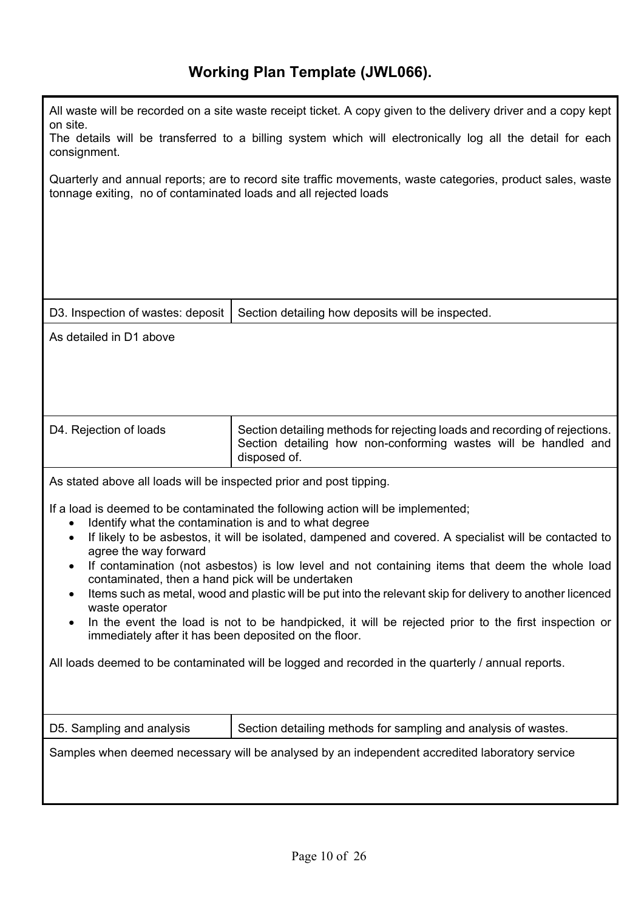| on site.<br>consignment.                                                                                                                                                            | All waste will be recorded on a site waste receipt ticket. A copy given to the delivery driver and a copy kept<br>The details will be transferred to a billing system which will electronically log all the detail for each |
|-------------------------------------------------------------------------------------------------------------------------------------------------------------------------------------|-----------------------------------------------------------------------------------------------------------------------------------------------------------------------------------------------------------------------------|
| tonnage exiting, no of contaminated loads and all rejected loads                                                                                                                    | Quarterly and annual reports; are to record site traffic movements, waste categories, product sales, waste                                                                                                                  |
|                                                                                                                                                                                     |                                                                                                                                                                                                                             |
|                                                                                                                                                                                     |                                                                                                                                                                                                                             |
|                                                                                                                                                                                     |                                                                                                                                                                                                                             |
| D3. Inspection of wastes: deposit                                                                                                                                                   | Section detailing how deposits will be inspected.                                                                                                                                                                           |
| As detailed in D1 above                                                                                                                                                             |                                                                                                                                                                                                                             |
|                                                                                                                                                                                     |                                                                                                                                                                                                                             |
|                                                                                                                                                                                     |                                                                                                                                                                                                                             |
| D4. Rejection of loads                                                                                                                                                              | Section detailing methods for rejecting loads and recording of rejections.<br>Section detailing how non-conforming wastes will be handled and<br>disposed of.                                                               |
| As stated above all loads will be inspected prior and post tipping.                                                                                                                 |                                                                                                                                                                                                                             |
|                                                                                                                                                                                     | If a load is deemed to be contaminated the following action will be implemented;                                                                                                                                            |
| Identify what the contamination is and to what degree<br>٠<br>$\bullet$                                                                                                             | If likely to be asbestos, it will be isolated, dampened and covered. A specialist will be contacted to                                                                                                                      |
| agree the way forward<br>$\bullet$                                                                                                                                                  | If contamination (not asbestos) is low level and not containing items that deem the whole load                                                                                                                              |
| contaminated, then a hand pick will be undertaken<br>Items such as metal, wood and plastic will be put into the relevant skip for delivery to another licenced<br>٠                 |                                                                                                                                                                                                                             |
| waste operator<br>In the event the load is not to be handpicked, it will be rejected prior to the first inspection or<br>٠<br>immediately after it has been deposited on the floor. |                                                                                                                                                                                                                             |
| All loads deemed to be contaminated will be logged and recorded in the quarterly / annual reports.                                                                                  |                                                                                                                                                                                                                             |
|                                                                                                                                                                                     |                                                                                                                                                                                                                             |
| D5. Sampling and analysis                                                                                                                                                           | Section detailing methods for sampling and analysis of wastes.                                                                                                                                                              |
| Samples when deemed necessary will be analysed by an independent accredited laboratory service                                                                                      |                                                                                                                                                                                                                             |
|                                                                                                                                                                                     |                                                                                                                                                                                                                             |
|                                                                                                                                                                                     |                                                                                                                                                                                                                             |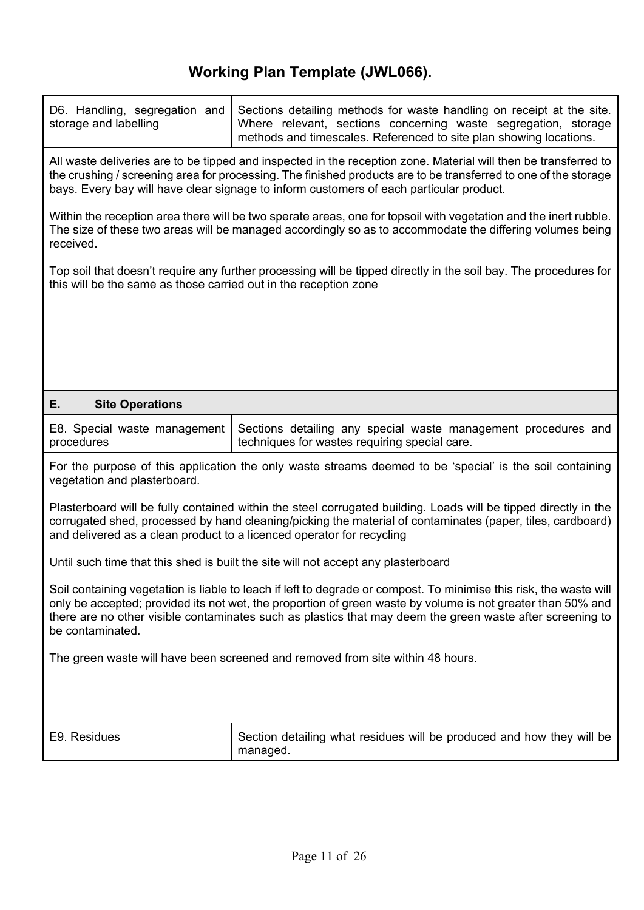| All waste deliveries are to be tipped and inspected in the reception zone. Material will then be transferred to<br>the crushing / screening area for processing. The finished products are to be transferred to one of the storage<br>bays. Every bay will have clear signage to inform customers of each particular product.<br>Within the reception area there will be two sperate areas, one for topsoil with vegetation and the inert rubble.<br>The size of these two areas will be managed accordingly so as to accommodate the differing volumes being<br>received.<br>Top soil that doesn't require any further processing will be tipped directly in the soil bay. The procedures for<br>this will be the same as those carried out in the reception zone<br>E.<br><b>Site Operations</b><br>E8. Special waste management<br>procedures<br>techniques for wastes requiring special care.<br>vegetation and plasterboard.<br>and delivered as a clean product to a licenced operator for recycling<br>Until such time that this shed is built the site will not accept any plasterboard<br>be contaminated.<br>The green waste will have been screened and removed from site within 48 hours.<br>E9. Residues<br>Section detailing what residues will be produced and how they will be | D6. Handling, segregation and<br>storage and labelling                                                                                                                                                                                                                                                                                         | Sections detailing methods for waste handling on receipt at the site.<br>Where relevant, sections concerning waste segregation, storage<br>methods and timescales. Referenced to site plan showing locations. |  |
|------------------------------------------------------------------------------------------------------------------------------------------------------------------------------------------------------------------------------------------------------------------------------------------------------------------------------------------------------------------------------------------------------------------------------------------------------------------------------------------------------------------------------------------------------------------------------------------------------------------------------------------------------------------------------------------------------------------------------------------------------------------------------------------------------------------------------------------------------------------------------------------------------------------------------------------------------------------------------------------------------------------------------------------------------------------------------------------------------------------------------------------------------------------------------------------------------------------------------------------------------------------------------------------------|------------------------------------------------------------------------------------------------------------------------------------------------------------------------------------------------------------------------------------------------------------------------------------------------------------------------------------------------|---------------------------------------------------------------------------------------------------------------------------------------------------------------------------------------------------------------|--|
|                                                                                                                                                                                                                                                                                                                                                                                                                                                                                                                                                                                                                                                                                                                                                                                                                                                                                                                                                                                                                                                                                                                                                                                                                                                                                                |                                                                                                                                                                                                                                                                                                                                                |                                                                                                                                                                                                               |  |
|                                                                                                                                                                                                                                                                                                                                                                                                                                                                                                                                                                                                                                                                                                                                                                                                                                                                                                                                                                                                                                                                                                                                                                                                                                                                                                |                                                                                                                                                                                                                                                                                                                                                |                                                                                                                                                                                                               |  |
|                                                                                                                                                                                                                                                                                                                                                                                                                                                                                                                                                                                                                                                                                                                                                                                                                                                                                                                                                                                                                                                                                                                                                                                                                                                                                                |                                                                                                                                                                                                                                                                                                                                                |                                                                                                                                                                                                               |  |
|                                                                                                                                                                                                                                                                                                                                                                                                                                                                                                                                                                                                                                                                                                                                                                                                                                                                                                                                                                                                                                                                                                                                                                                                                                                                                                |                                                                                                                                                                                                                                                                                                                                                |                                                                                                                                                                                                               |  |
|                                                                                                                                                                                                                                                                                                                                                                                                                                                                                                                                                                                                                                                                                                                                                                                                                                                                                                                                                                                                                                                                                                                                                                                                                                                                                                |                                                                                                                                                                                                                                                                                                                                                |                                                                                                                                                                                                               |  |
|                                                                                                                                                                                                                                                                                                                                                                                                                                                                                                                                                                                                                                                                                                                                                                                                                                                                                                                                                                                                                                                                                                                                                                                                                                                                                                |                                                                                                                                                                                                                                                                                                                                                |                                                                                                                                                                                                               |  |
|                                                                                                                                                                                                                                                                                                                                                                                                                                                                                                                                                                                                                                                                                                                                                                                                                                                                                                                                                                                                                                                                                                                                                                                                                                                                                                |                                                                                                                                                                                                                                                                                                                                                | Sections detailing any special waste management procedures and                                                                                                                                                |  |
|                                                                                                                                                                                                                                                                                                                                                                                                                                                                                                                                                                                                                                                                                                                                                                                                                                                                                                                                                                                                                                                                                                                                                                                                                                                                                                | For the purpose of this application the only waste streams deemed to be 'special' is the soil containing                                                                                                                                                                                                                                       |                                                                                                                                                                                                               |  |
|                                                                                                                                                                                                                                                                                                                                                                                                                                                                                                                                                                                                                                                                                                                                                                                                                                                                                                                                                                                                                                                                                                                                                                                                                                                                                                | Plasterboard will be fully contained within the steel corrugated building. Loads will be tipped directly in the<br>corrugated shed, processed by hand cleaning/picking the material of contaminates (paper, tiles, cardboard)                                                                                                                  |                                                                                                                                                                                                               |  |
|                                                                                                                                                                                                                                                                                                                                                                                                                                                                                                                                                                                                                                                                                                                                                                                                                                                                                                                                                                                                                                                                                                                                                                                                                                                                                                |                                                                                                                                                                                                                                                                                                                                                |                                                                                                                                                                                                               |  |
|                                                                                                                                                                                                                                                                                                                                                                                                                                                                                                                                                                                                                                                                                                                                                                                                                                                                                                                                                                                                                                                                                                                                                                                                                                                                                                | Soil containing vegetation is liable to leach if left to degrade or compost. To minimise this risk, the waste will<br>only be accepted; provided its not wet, the proportion of green waste by volume is not greater than 50% and<br>there are no other visible contaminates such as plastics that may deem the green waste after screening to |                                                                                                                                                                                                               |  |
|                                                                                                                                                                                                                                                                                                                                                                                                                                                                                                                                                                                                                                                                                                                                                                                                                                                                                                                                                                                                                                                                                                                                                                                                                                                                                                |                                                                                                                                                                                                                                                                                                                                                |                                                                                                                                                                                                               |  |
|                                                                                                                                                                                                                                                                                                                                                                                                                                                                                                                                                                                                                                                                                                                                                                                                                                                                                                                                                                                                                                                                                                                                                                                                                                                                                                |                                                                                                                                                                                                                                                                                                                                                |                                                                                                                                                                                                               |  |
| managed.                                                                                                                                                                                                                                                                                                                                                                                                                                                                                                                                                                                                                                                                                                                                                                                                                                                                                                                                                                                                                                                                                                                                                                                                                                                                                       |                                                                                                                                                                                                                                                                                                                                                |                                                                                                                                                                                                               |  |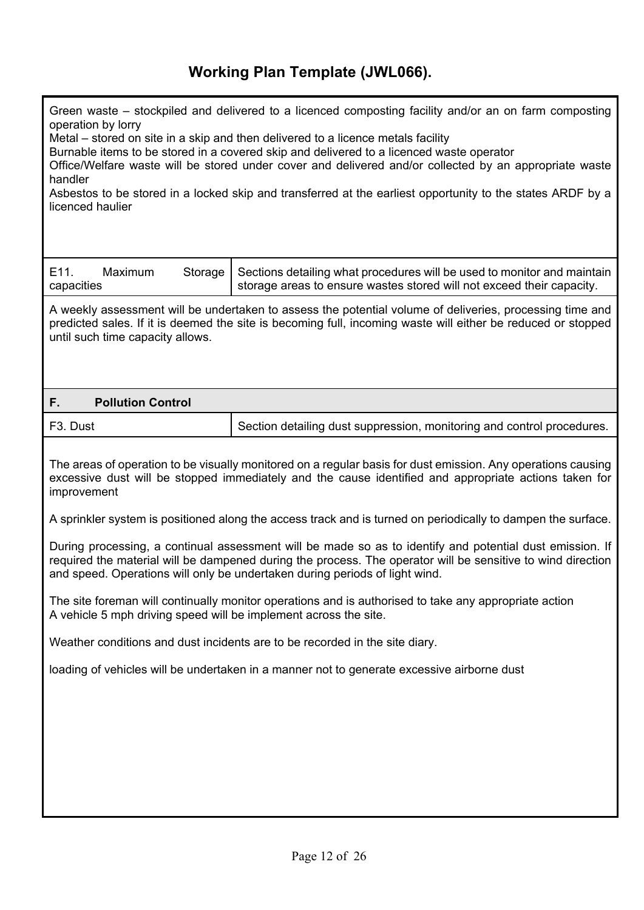| Green waste – stockpiled and delivered to a licenced composting facility and/or an on farm composting<br>operation by lorry<br>Metal - stored on site in a skip and then delivered to a licence metals facility<br>Burnable items to be stored in a covered skip and delivered to a licenced waste operator<br>Office/Welfare waste will be stored under cover and delivered and/or collected by an appropriate waste<br>handler<br>Asbestos to be stored in a locked skip and transferred at the earliest opportunity to the states ARDF by a<br>licenced haulier |                                                                                                                                                                                                                          |  |  |  |
|--------------------------------------------------------------------------------------------------------------------------------------------------------------------------------------------------------------------------------------------------------------------------------------------------------------------------------------------------------------------------------------------------------------------------------------------------------------------------------------------------------------------------------------------------------------------|--------------------------------------------------------------------------------------------------------------------------------------------------------------------------------------------------------------------------|--|--|--|
| E11.<br>Maximum<br>Storage<br>capacities                                                                                                                                                                                                                                                                                                                                                                                                                                                                                                                           | Sections detailing what procedures will be used to monitor and maintain<br>storage areas to ensure wastes stored will not exceed their capacity.                                                                         |  |  |  |
| until such time capacity allows.                                                                                                                                                                                                                                                                                                                                                                                                                                                                                                                                   | A weekly assessment will be undertaken to assess the potential volume of deliveries, processing time and<br>predicted sales. If it is deemed the site is becoming full, incoming waste will either be reduced or stopped |  |  |  |
| <b>Pollution Control</b><br>F.                                                                                                                                                                                                                                                                                                                                                                                                                                                                                                                                     |                                                                                                                                                                                                                          |  |  |  |
| F <sub>3</sub> . Dust                                                                                                                                                                                                                                                                                                                                                                                                                                                                                                                                              | Section detailing dust suppression, monitoring and control procedures.                                                                                                                                                   |  |  |  |
| The areas of operation to be visually monitored on a regular basis for dust emission. Any operations causing<br>excessive dust will be stopped immediately and the cause identified and appropriate actions taken for<br>improvement                                                                                                                                                                                                                                                                                                                               |                                                                                                                                                                                                                          |  |  |  |
| A sprinkler system is positioned along the access track and is turned on periodically to dampen the surface.                                                                                                                                                                                                                                                                                                                                                                                                                                                       |                                                                                                                                                                                                                          |  |  |  |
| During processing, a continual assessment will be made so as to identify and potential dust emission. If<br>required the material will be dampened during the process. The operator will be sensitive to wind direction<br>and speed. Operations will only be undertaken during periods of light wind.                                                                                                                                                                                                                                                             |                                                                                                                                                                                                                          |  |  |  |
| The site foreman will continually monitor operations and is authorised to take any appropriate action<br>A vehicle 5 mph driving speed will be implement across the site.                                                                                                                                                                                                                                                                                                                                                                                          |                                                                                                                                                                                                                          |  |  |  |
| Weather conditions and dust incidents are to be recorded in the site diary.                                                                                                                                                                                                                                                                                                                                                                                                                                                                                        |                                                                                                                                                                                                                          |  |  |  |
| loading of vehicles will be undertaken in a manner not to generate excessive airborne dust                                                                                                                                                                                                                                                                                                                                                                                                                                                                         |                                                                                                                                                                                                                          |  |  |  |
|                                                                                                                                                                                                                                                                                                                                                                                                                                                                                                                                                                    |                                                                                                                                                                                                                          |  |  |  |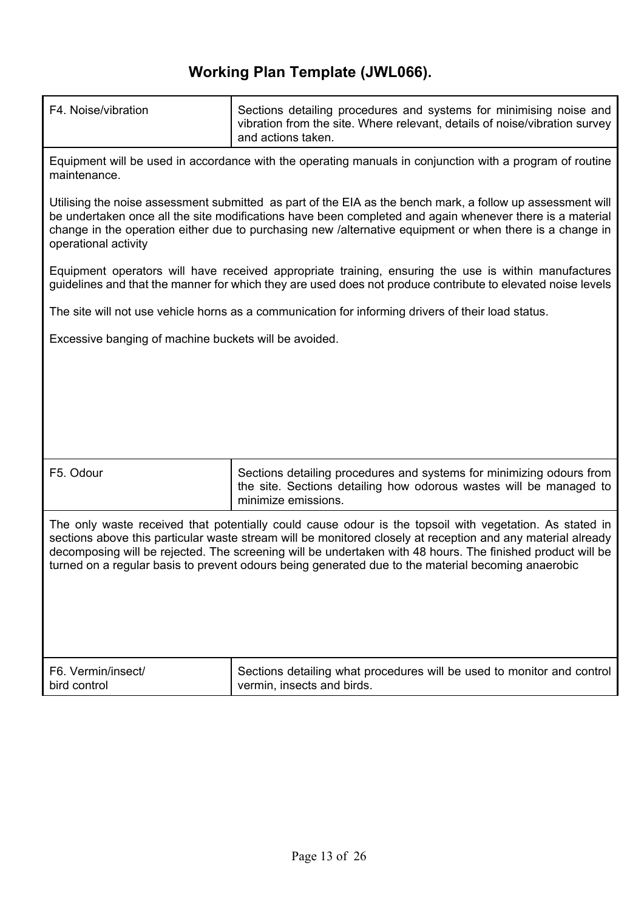| F4. Noise/vibration                                                                                                                                                                                                                                                                                                                                                                                                                        | Sections detailing procedures and systems for minimising noise and<br>vibration from the site. Where relevant, details of noise/vibration survey                                                                                                                                                                                   |  |  |  |  |
|--------------------------------------------------------------------------------------------------------------------------------------------------------------------------------------------------------------------------------------------------------------------------------------------------------------------------------------------------------------------------------------------------------------------------------------------|------------------------------------------------------------------------------------------------------------------------------------------------------------------------------------------------------------------------------------------------------------------------------------------------------------------------------------|--|--|--|--|
|                                                                                                                                                                                                                                                                                                                                                                                                                                            | and actions taken.                                                                                                                                                                                                                                                                                                                 |  |  |  |  |
| maintenance.                                                                                                                                                                                                                                                                                                                                                                                                                               | Equipment will be used in accordance with the operating manuals in conjunction with a program of routine                                                                                                                                                                                                                           |  |  |  |  |
| operational activity                                                                                                                                                                                                                                                                                                                                                                                                                       | Utilising the noise assessment submitted as part of the EIA as the bench mark, a follow up assessment will<br>be undertaken once all the site modifications have been completed and again whenever there is a material<br>change in the operation either due to purchasing new /alternative equipment or when there is a change in |  |  |  |  |
|                                                                                                                                                                                                                                                                                                                                                                                                                                            | Equipment operators will have received appropriate training, ensuring the use is within manufactures<br>guidelines and that the manner for which they are used does not produce contribute to elevated noise levels                                                                                                                |  |  |  |  |
|                                                                                                                                                                                                                                                                                                                                                                                                                                            | The site will not use vehicle horns as a communication for informing drivers of their load status.                                                                                                                                                                                                                                 |  |  |  |  |
| Excessive banging of machine buckets will be avoided.                                                                                                                                                                                                                                                                                                                                                                                      |                                                                                                                                                                                                                                                                                                                                    |  |  |  |  |
|                                                                                                                                                                                                                                                                                                                                                                                                                                            |                                                                                                                                                                                                                                                                                                                                    |  |  |  |  |
|                                                                                                                                                                                                                                                                                                                                                                                                                                            |                                                                                                                                                                                                                                                                                                                                    |  |  |  |  |
|                                                                                                                                                                                                                                                                                                                                                                                                                                            |                                                                                                                                                                                                                                                                                                                                    |  |  |  |  |
|                                                                                                                                                                                                                                                                                                                                                                                                                                            |                                                                                                                                                                                                                                                                                                                                    |  |  |  |  |
| F5. Odour                                                                                                                                                                                                                                                                                                                                                                                                                                  | Sections detailing procedures and systems for minimizing odours from<br>the site. Sections detailing how odorous wastes will be managed to<br>minimize emissions.                                                                                                                                                                  |  |  |  |  |
| The only waste received that potentially could cause odour is the topsoil with vegetation. As stated in<br>sections above this particular waste stream will be monitored closely at reception and any material already<br>decomposing will be rejected. The screening will be undertaken with 48 hours. The finished product will be<br>turned on a regular basis to prevent odours being generated due to the material becoming anaerobic |                                                                                                                                                                                                                                                                                                                                    |  |  |  |  |
|                                                                                                                                                                                                                                                                                                                                                                                                                                            |                                                                                                                                                                                                                                                                                                                                    |  |  |  |  |
|                                                                                                                                                                                                                                                                                                                                                                                                                                            |                                                                                                                                                                                                                                                                                                                                    |  |  |  |  |
|                                                                                                                                                                                                                                                                                                                                                                                                                                            |                                                                                                                                                                                                                                                                                                                                    |  |  |  |  |
| F6. Vermin/insect/<br>bird control                                                                                                                                                                                                                                                                                                                                                                                                         | Sections detailing what procedures will be used to monitor and control<br>vermin, insects and birds.                                                                                                                                                                                                                               |  |  |  |  |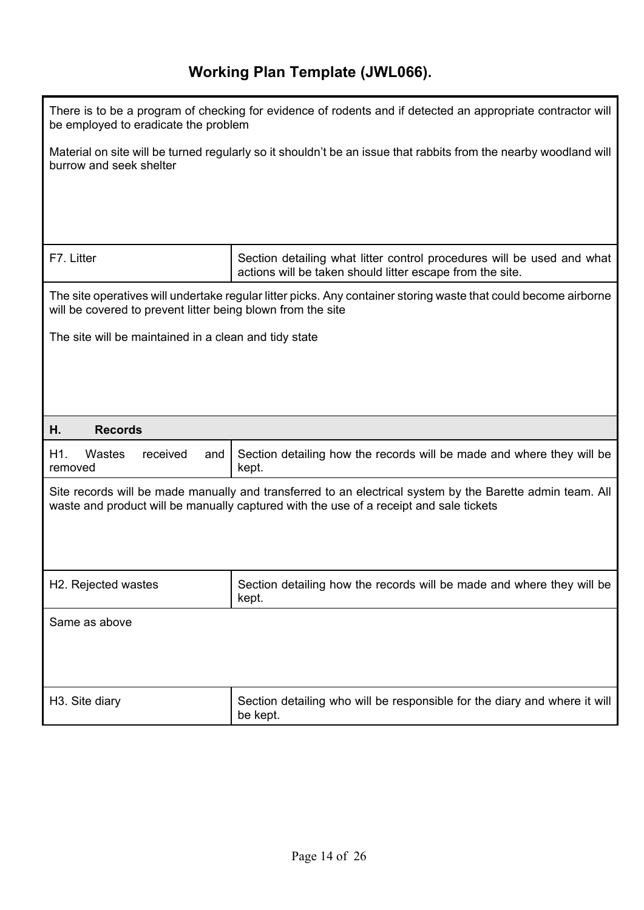| There is to be a program of checking for evidence of rodents and if detected an appropriate contractor will<br>be employed to eradicate the problem |                                                                                                                                                                                                     |  |  |
|-----------------------------------------------------------------------------------------------------------------------------------------------------|-----------------------------------------------------------------------------------------------------------------------------------------------------------------------------------------------------|--|--|
| burrow and seek shelter                                                                                                                             | Material on site will be turned regularly so it shouldn't be an issue that rabbits from the nearby woodland will                                                                                    |  |  |
|                                                                                                                                                     |                                                                                                                                                                                                     |  |  |
|                                                                                                                                                     |                                                                                                                                                                                                     |  |  |
| F7. Litter                                                                                                                                          | Section detailing what litter control procedures will be used and what<br>actions will be taken should litter escape from the site.                                                                 |  |  |
| will be covered to prevent litter being blown from the site                                                                                         | The site operatives will undertake regular litter picks. Any container storing waste that could become airborne                                                                                     |  |  |
| The site will be maintained in a clean and tidy state                                                                                               |                                                                                                                                                                                                     |  |  |
|                                                                                                                                                     |                                                                                                                                                                                                     |  |  |
|                                                                                                                                                     |                                                                                                                                                                                                     |  |  |
| Η.<br><b>Records</b>                                                                                                                                |                                                                                                                                                                                                     |  |  |
| H1.<br>Wastes<br>received<br>and<br>removed                                                                                                         | Section detailing how the records will be made and where they will be<br>kept.                                                                                                                      |  |  |
|                                                                                                                                                     | Site records will be made manually and transferred to an electrical system by the Barette admin team. All<br>waste and product will be manually captured with the use of a receipt and sale tickets |  |  |
|                                                                                                                                                     |                                                                                                                                                                                                     |  |  |
|                                                                                                                                                     |                                                                                                                                                                                                     |  |  |
|                                                                                                                                                     |                                                                                                                                                                                                     |  |  |
| H2. Rejected wastes                                                                                                                                 | Section detailing how the records will be made and where they will be<br>kept.                                                                                                                      |  |  |
| Same as above                                                                                                                                       |                                                                                                                                                                                                     |  |  |
|                                                                                                                                                     |                                                                                                                                                                                                     |  |  |
|                                                                                                                                                     |                                                                                                                                                                                                     |  |  |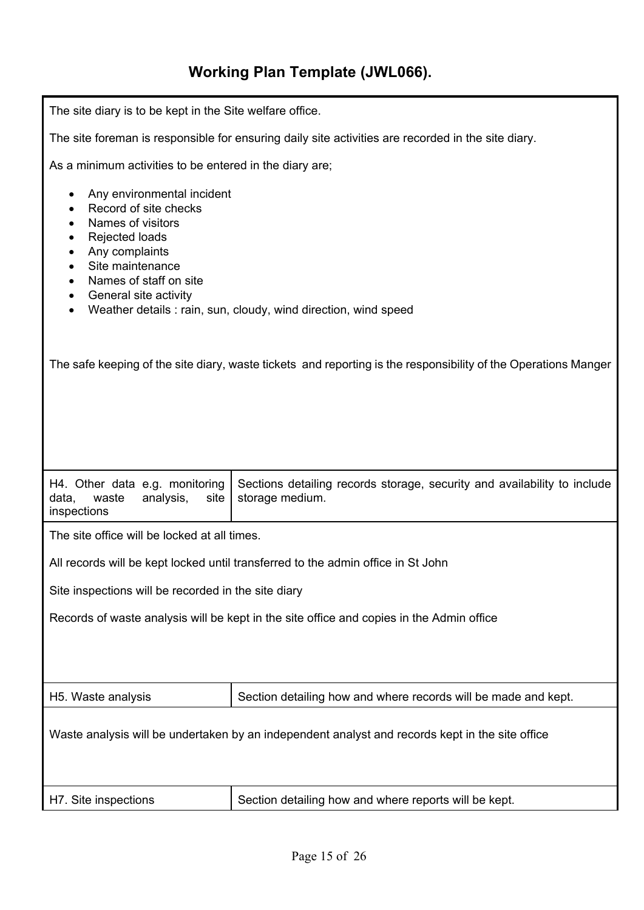| The site diary is to be kept in the Site welfare office.                                                                                                                                                                                                                                             |                                                                                                                |  |  |  |
|------------------------------------------------------------------------------------------------------------------------------------------------------------------------------------------------------------------------------------------------------------------------------------------------------|----------------------------------------------------------------------------------------------------------------|--|--|--|
|                                                                                                                                                                                                                                                                                                      | The site foreman is responsible for ensuring daily site activities are recorded in the site diary.             |  |  |  |
| As a minimum activities to be entered in the diary are;                                                                                                                                                                                                                                              |                                                                                                                |  |  |  |
| Any environmental incident<br>٠<br>Record of site checks<br>Names of visitors<br>٠<br>Rejected loads<br>Any complaints<br>٠<br>Site maintenance<br>$\bullet$<br>Names of staff on site<br>$\bullet$<br>General site activity<br>٠<br>Weather details : rain, sun, cloudy, wind direction, wind speed |                                                                                                                |  |  |  |
|                                                                                                                                                                                                                                                                                                      | The safe keeping of the site diary, waste tickets and reporting is the responsibility of the Operations Manger |  |  |  |
|                                                                                                                                                                                                                                                                                                      |                                                                                                                |  |  |  |
| H4. Other data e.g. monitoring<br>data,<br>waste<br>analysis,<br>site<br>inspections                                                                                                                                                                                                                 | Sections detailing records storage, security and availability to include<br>storage medium.                    |  |  |  |
| The site office will be locked at all times.                                                                                                                                                                                                                                                         |                                                                                                                |  |  |  |
|                                                                                                                                                                                                                                                                                                      | All records will be kept locked until transferred to the admin office in St John                               |  |  |  |
| Site inspections will be recorded in the site diary                                                                                                                                                                                                                                                  |                                                                                                                |  |  |  |
|                                                                                                                                                                                                                                                                                                      | Records of waste analysis will be kept in the site office and copies in the Admin office                       |  |  |  |
|                                                                                                                                                                                                                                                                                                      |                                                                                                                |  |  |  |
| H5. Waste analysis                                                                                                                                                                                                                                                                                   | Section detailing how and where records will be made and kept.                                                 |  |  |  |
| Waste analysis will be undertaken by an independent analyst and records kept in the site office                                                                                                                                                                                                      |                                                                                                                |  |  |  |
| H7. Site inspections                                                                                                                                                                                                                                                                                 | Section detailing how and where reports will be kept.                                                          |  |  |  |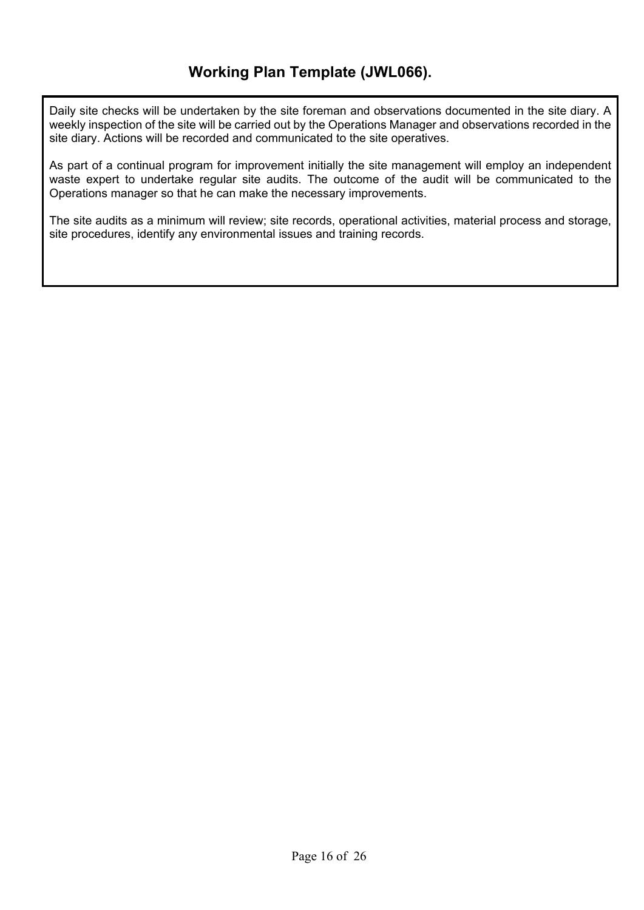Daily site checks will be undertaken by the site foreman and observations documented in the site diary. A weekly inspection of the site will be carried out by the Operations Manager and observations recorded in the site diary. Actions will be recorded and communicated to the site operatives.

As part of a continual program for improvement initially the site management will employ an independent waste expert to undertake regular site audits. The outcome of the audit will be communicated to the Operations manager so that he can make the necessary improvements.

The site audits as a minimum will review; site records, operational activities, material process and storage, site procedures, identify any environmental issues and training records.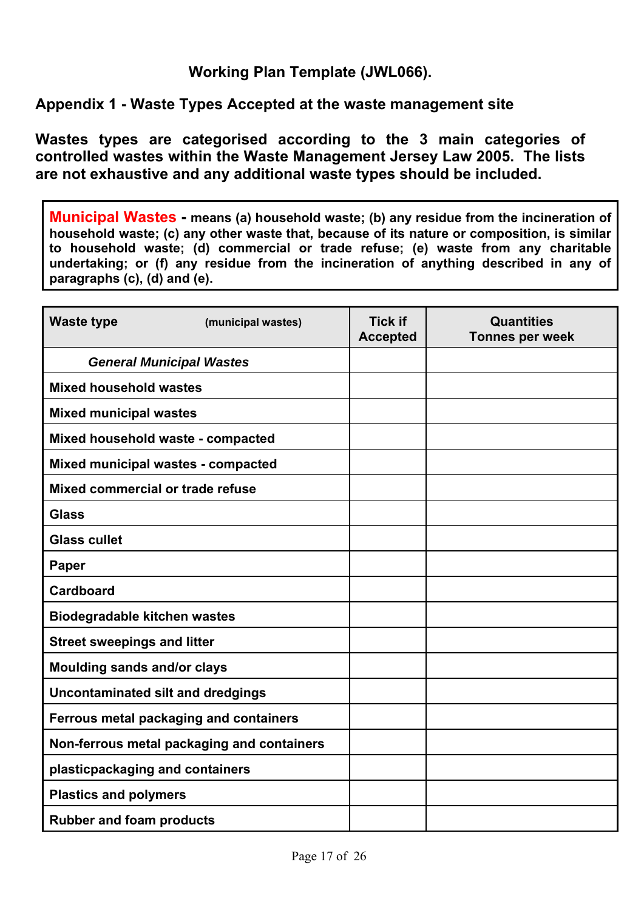## **Appendix 1 - Waste Types Accepted at the waste management site**

**Wastes types are categorised according to the 3 main categories of controlled wastes within the Waste Management Jersey Law 2005. The lists are not exhaustive and any additional waste types should be included.** 

**Municipal Wastes - means (a) household waste; (b) any residue from the incineration of household waste; (c) any other waste that, because of its nature or composition, is similar to household waste; (d) commercial or trade refuse; (e) waste from any charitable undertaking; or (f) any residue from the incineration of anything described in any of paragraphs (c), (d) and (e).** 

| <b>Waste type</b>                        | (municipal wastes)                         | <b>Tick if</b><br><b>Accepted</b> | <b>Quantities</b><br><b>Tonnes per week</b> |
|------------------------------------------|--------------------------------------------|-----------------------------------|---------------------------------------------|
| <b>General Municipal Wastes</b>          |                                            |                                   |                                             |
| <b>Mixed household wastes</b>            |                                            |                                   |                                             |
| <b>Mixed municipal wastes</b>            |                                            |                                   |                                             |
| Mixed household waste - compacted        |                                            |                                   |                                             |
| Mixed municipal wastes - compacted       |                                            |                                   |                                             |
| Mixed commercial or trade refuse         |                                            |                                   |                                             |
| <b>Glass</b>                             |                                            |                                   |                                             |
| <b>Glass cullet</b>                      |                                            |                                   |                                             |
| <b>Paper</b>                             |                                            |                                   |                                             |
| <b>Cardboard</b>                         |                                            |                                   |                                             |
| <b>Biodegradable kitchen wastes</b>      |                                            |                                   |                                             |
| <b>Street sweepings and litter</b>       |                                            |                                   |                                             |
| Moulding sands and/or clays              |                                            |                                   |                                             |
| <b>Uncontaminated silt and dredgings</b> |                                            |                                   |                                             |
| Ferrous metal packaging and containers   |                                            |                                   |                                             |
|                                          | Non-ferrous metal packaging and containers |                                   |                                             |
| plasticpackaging and containers          |                                            |                                   |                                             |
| <b>Plastics and polymers</b>             |                                            |                                   |                                             |
| <b>Rubber and foam products</b>          |                                            |                                   |                                             |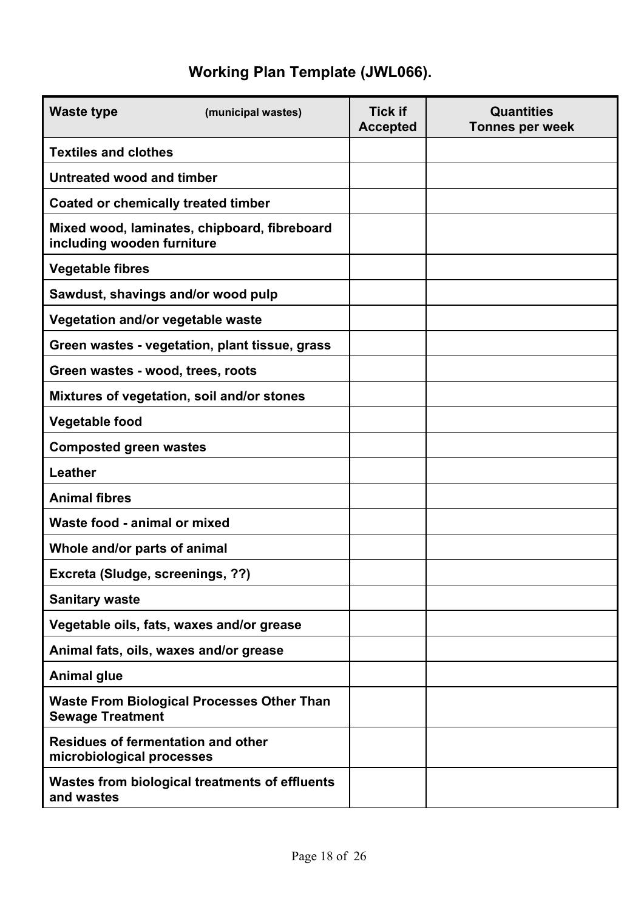| <b>Waste type</b>                                                      | (municipal wastes)                                | <b>Tick if</b><br><b>Accepted</b> | <b>Quantities</b><br><b>Tonnes per week</b> |
|------------------------------------------------------------------------|---------------------------------------------------|-----------------------------------|---------------------------------------------|
| <b>Textiles and clothes</b>                                            |                                                   |                                   |                                             |
| Untreated wood and timber                                              |                                                   |                                   |                                             |
| <b>Coated or chemically treated timber</b>                             |                                                   |                                   |                                             |
| including wooden furniture                                             | Mixed wood, laminates, chipboard, fibreboard      |                                   |                                             |
| <b>Vegetable fibres</b>                                                |                                                   |                                   |                                             |
| Sawdust, shavings and/or wood pulp                                     |                                                   |                                   |                                             |
| Vegetation and/or vegetable waste                                      |                                                   |                                   |                                             |
|                                                                        | Green wastes - vegetation, plant tissue, grass    |                                   |                                             |
| Green wastes - wood, trees, roots                                      |                                                   |                                   |                                             |
|                                                                        | Mixtures of vegetation, soil and/or stones        |                                   |                                             |
| <b>Vegetable food</b>                                                  |                                                   |                                   |                                             |
| <b>Composted green wastes</b>                                          |                                                   |                                   |                                             |
| Leather                                                                |                                                   |                                   |                                             |
| <b>Animal fibres</b>                                                   |                                                   |                                   |                                             |
| Waste food - animal or mixed                                           |                                                   |                                   |                                             |
| Whole and/or parts of animal                                           |                                                   |                                   |                                             |
| Excreta (Sludge, screenings, ??)                                       |                                                   |                                   |                                             |
| <b>Sanitary waste</b>                                                  |                                                   |                                   |                                             |
|                                                                        | Vegetable oils, fats, waxes and/or grease         |                                   |                                             |
| Animal fats, oils, waxes and/or grease                                 |                                                   |                                   |                                             |
| <b>Animal glue</b>                                                     |                                                   |                                   |                                             |
| <b>Sewage Treatment</b>                                                | <b>Waste From Biological Processes Other Than</b> |                                   |                                             |
| <b>Residues of fermentation and other</b><br>microbiological processes |                                                   |                                   |                                             |
| and wastes                                                             | Wastes from biological treatments of effluents    |                                   |                                             |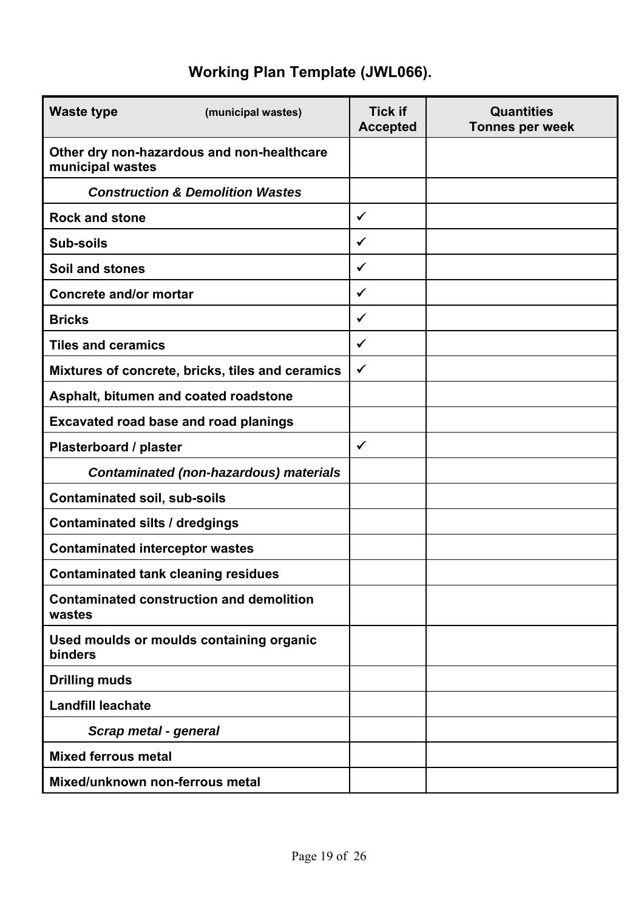| <b>Waste type</b><br>(municipal wastes)                        | <b>Tick if</b><br><b>Accepted</b> | <b>Quantities</b><br><b>Tonnes per week</b> |
|----------------------------------------------------------------|-----------------------------------|---------------------------------------------|
| Other dry non-hazardous and non-healthcare<br>municipal wastes |                                   |                                             |
| <b>Construction &amp; Demolition Wastes</b>                    |                                   |                                             |
| <b>Rock and stone</b>                                          | $\checkmark$                      |                                             |
| <b>Sub-soils</b>                                               | $\checkmark$                      |                                             |
| Soil and stones                                                | $\checkmark$                      |                                             |
| <b>Concrete and/or mortar</b>                                  | $\checkmark$                      |                                             |
| <b>Bricks</b>                                                  | $\checkmark$                      |                                             |
| <b>Tiles and ceramics</b>                                      | $\checkmark$                      |                                             |
| Mixtures of concrete, bricks, tiles and ceramics               | $\checkmark$                      |                                             |
| Asphalt, bitumen and coated roadstone                          |                                   |                                             |
| <b>Excavated road base and road planings</b>                   |                                   |                                             |
| Plasterboard / plaster                                         | $\checkmark$                      |                                             |
| <b>Contaminated (non-hazardous) materials</b>                  |                                   |                                             |
| <b>Contaminated soil, sub-soils</b>                            |                                   |                                             |
| <b>Contaminated silts / dredgings</b>                          |                                   |                                             |
| <b>Contaminated interceptor wastes</b>                         |                                   |                                             |
| <b>Contaminated tank cleaning residues</b>                     |                                   |                                             |
| <b>Contaminated construction and demolition</b><br>wastes      |                                   |                                             |
| Used moulds or moulds containing organic<br>binders            |                                   |                                             |
| <b>Drilling muds</b>                                           |                                   |                                             |
| <b>Landfill leachate</b>                                       |                                   |                                             |
| Scrap metal - general                                          |                                   |                                             |
| <b>Mixed ferrous metal</b>                                     |                                   |                                             |
| Mixed/unknown non-ferrous metal                                |                                   |                                             |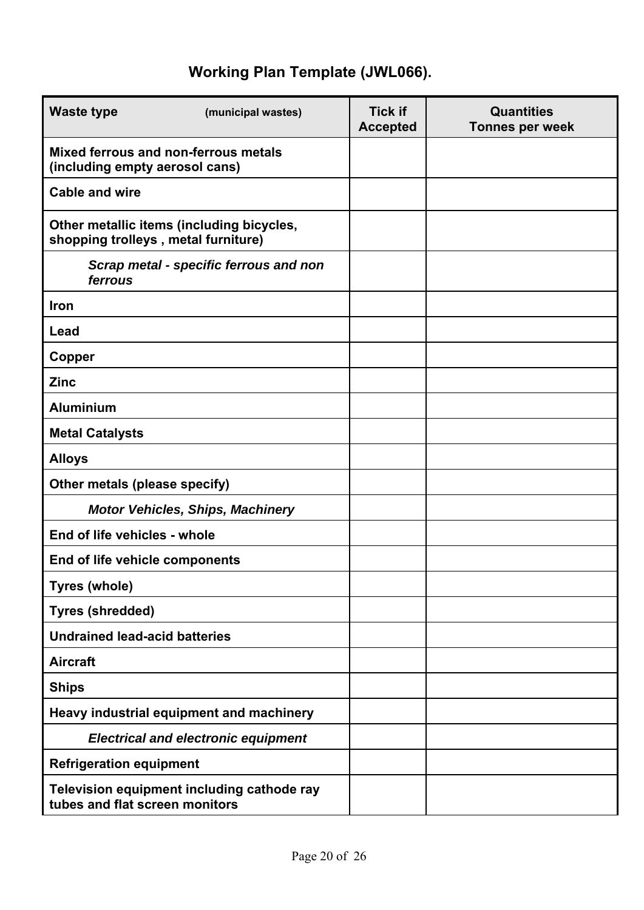| <b>Waste type</b><br>(municipal wastes)                                          | <b>Tick if</b><br><b>Accepted</b> | <b>Quantities</b><br><b>Tonnes per week</b> |
|----------------------------------------------------------------------------------|-----------------------------------|---------------------------------------------|
| Mixed ferrous and non-ferrous metals<br>(including empty aerosol cans)           |                                   |                                             |
| <b>Cable and wire</b>                                                            |                                   |                                             |
| Other metallic items (including bicycles,<br>shopping trolleys, metal furniture) |                                   |                                             |
| Scrap metal - specific ferrous and non<br>ferrous                                |                                   |                                             |
| Iron                                                                             |                                   |                                             |
| Lead                                                                             |                                   |                                             |
| Copper                                                                           |                                   |                                             |
| <b>Zinc</b>                                                                      |                                   |                                             |
| <b>Aluminium</b>                                                                 |                                   |                                             |
| <b>Metal Catalysts</b>                                                           |                                   |                                             |
| <b>Alloys</b>                                                                    |                                   |                                             |
| Other metals (please specify)                                                    |                                   |                                             |
| <b>Motor Vehicles, Ships, Machinery</b>                                          |                                   |                                             |
| End of life vehicles - whole                                                     |                                   |                                             |
| End of life vehicle components                                                   |                                   |                                             |
| <b>Tyres (whole)</b>                                                             |                                   |                                             |
| <b>Tyres (shredded)</b>                                                          |                                   |                                             |
| <b>Undrained lead-acid batteries</b>                                             |                                   |                                             |
| <b>Aircraft</b>                                                                  |                                   |                                             |
| <b>Ships</b>                                                                     |                                   |                                             |
| Heavy industrial equipment and machinery                                         |                                   |                                             |
| <b>Electrical and electronic equipment</b>                                       |                                   |                                             |
| <b>Refrigeration equipment</b>                                                   |                                   |                                             |
| Television equipment including cathode ray<br>tubes and flat screen monitors     |                                   |                                             |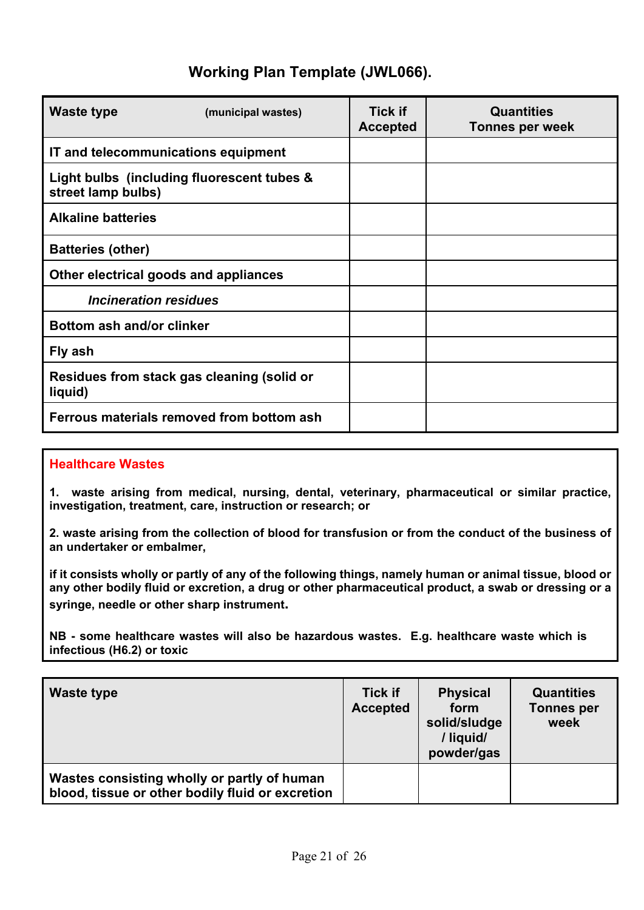| Waste type                                                       | (municipal wastes) | <b>Tick if</b><br><b>Accepted</b> | <b>Quantities</b><br><b>Tonnes per week</b> |
|------------------------------------------------------------------|--------------------|-----------------------------------|---------------------------------------------|
| IT and telecommunications equipment                              |                    |                                   |                                             |
| Light bulbs (including fluorescent tubes &<br>street lamp bulbs) |                    |                                   |                                             |
| <b>Alkaline batteries</b>                                        |                    |                                   |                                             |
| <b>Batteries (other)</b>                                         |                    |                                   |                                             |
| Other electrical goods and appliances                            |                    |                                   |                                             |
| Incineration residues                                            |                    |                                   |                                             |
| Bottom ash and/or clinker                                        |                    |                                   |                                             |
| Fly ash                                                          |                    |                                   |                                             |
| Residues from stack gas cleaning (solid or<br>liquid)            |                    |                                   |                                             |
| Ferrous materials removed from bottom ash                        |                    |                                   |                                             |

#### **Healthcare Wastes**

**1. waste arising from medical, nursing, dental, veterinary, pharmaceutical or similar practice, investigation, treatment, care, instruction or research; or** 

**2. waste arising from the collection of blood for transfusion or from the conduct of the business of an undertaker or embalmer,** 

**if it consists wholly or partly of any of the following things, namely human or animal tissue, blood or any other bodily fluid or excretion, a drug or other pharmaceutical product, a swab or dressing or a syringe, needle or other sharp instrument.** 

**NB - some healthcare wastes will also be hazardous wastes. E.g. healthcare waste which is infectious (H6.2) or toxic**

| Waste type                                                                                      | <b>Tick if</b><br><b>Accepted</b> | <b>Physical</b><br>form<br>solid/sludge<br>/liquid/<br>powder/gas | <b>Quantities</b><br><b>Tonnes per</b><br>week |
|-------------------------------------------------------------------------------------------------|-----------------------------------|-------------------------------------------------------------------|------------------------------------------------|
| Wastes consisting wholly or partly of human<br>blood, tissue or other bodily fluid or excretion |                                   |                                                                   |                                                |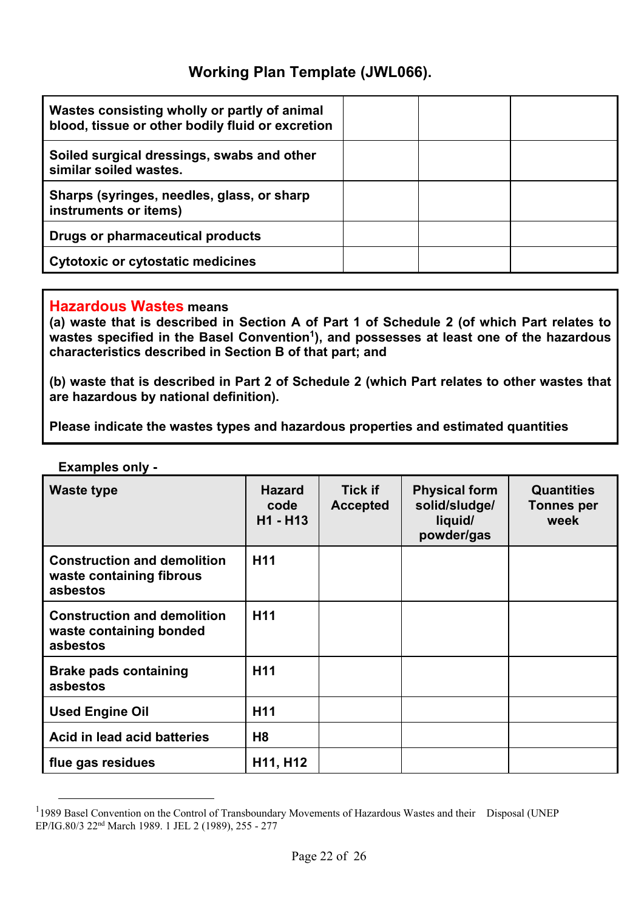| Wastes consisting wholly or partly of animal<br>blood, tissue or other bodily fluid or excretion |  |  |
|--------------------------------------------------------------------------------------------------|--|--|
| Soiled surgical dressings, swabs and other<br>similar soiled wastes.                             |  |  |
| Sharps (syringes, needles, glass, or sharp<br>instruments or items)                              |  |  |
| Drugs or pharmaceutical products                                                                 |  |  |
| <b>Cytotoxic or cytostatic medicines</b>                                                         |  |  |

#### **Hazardous Wastes means**

**(a) waste that is described in Section A of Part 1 of Schedule 2 (of which Part relates to**  wastes specified in the Basel Convention<sup>1</sup>), and possesses at least one of the hazardous **characteristics described in Section B of that part; and** 

**(b) waste that is described in Part 2 of Schedule 2 (which Part relates to other wastes that are hazardous by national definition).** 

**Please indicate the wastes types and hazardous properties and estimated quantities** 

| <b>Waste type</b>                                                          | <b>Hazard</b><br>code<br>H1 - H13 | <b>Tick if</b><br><b>Accepted</b> | <b>Physical form</b><br>solid/sludge/<br>liquid/<br>powder/gas | <b>Quantities</b><br><b>Tonnes per</b><br>week |
|----------------------------------------------------------------------------|-----------------------------------|-----------------------------------|----------------------------------------------------------------|------------------------------------------------|
| <b>Construction and demolition</b><br>waste containing fibrous<br>asbestos | H <sub>11</sub>                   |                                   |                                                                |                                                |
| <b>Construction and demolition</b><br>waste containing bonded<br>asbestos  | H <sub>11</sub>                   |                                   |                                                                |                                                |
| <b>Brake pads containing</b><br>asbestos                                   | H <sub>11</sub>                   |                                   |                                                                |                                                |
| <b>Used Engine Oil</b>                                                     | H <sub>11</sub>                   |                                   |                                                                |                                                |
| Acid in lead acid batteries                                                | H8                                |                                   |                                                                |                                                |
| flue gas residues                                                          | H11, H12                          |                                   |                                                                |                                                |

**Examples only -** 

<sup>1&</sup>lt;br>
<sup>1</sup> 1989 Basel Convention on the Control of Transboundary Movements of Hazardous Wastes and their Disposal (UNEP EP/IG.80/3 22nd March 1989. 1 JEL 2 (1989), 255 - 277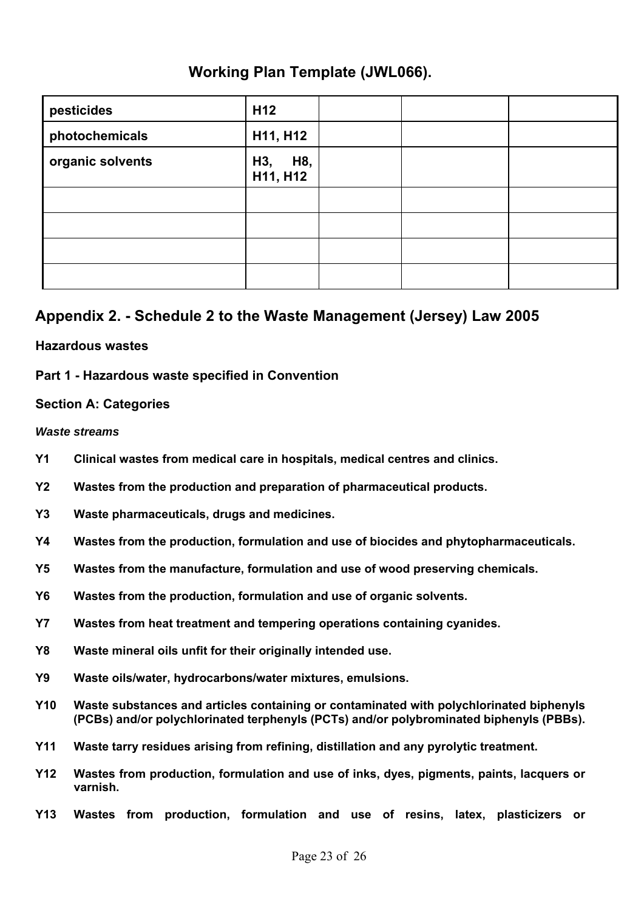| pesticides       | H <sub>12</sub>        |  |  |
|------------------|------------------------|--|--|
| photochemicals   | H11, H12               |  |  |
| organic solvents | H8,<br>H3,<br>H11, H12 |  |  |
|                  |                        |  |  |
|                  |                        |  |  |
|                  |                        |  |  |
|                  |                        |  |  |

### **Appendix 2. - Schedule 2 to the Waste Management (Jersey) Law 2005**

#### **Hazardous wastes**

#### **Part 1 - Hazardous waste specified in Convention**

#### **Section A: Categories**

#### *Waste streams*

- **Y1 Clinical wastes from medical care in hospitals, medical centres and clinics.**
- **Y2 Wastes from the production and preparation of pharmaceutical products.**
- **Y3 Waste pharmaceuticals, drugs and medicines.**
- **Y4 Wastes from the production, formulation and use of biocides and phytopharmaceuticals.**
- **Y5 Wastes from the manufacture, formulation and use of wood preserving chemicals.**
- **Y6 Wastes from the production, formulation and use of organic solvents.**
- **Y7 Wastes from heat treatment and tempering operations containing cyanides.**
- **Y8 Waste mineral oils unfit for their originally intended use.**
- **Y9 Waste oils/water, hydrocarbons/water mixtures, emulsions.**
- **Y10 Waste substances and articles containing or contaminated with polychlorinated biphenyls (PCBs) and/or polychlorinated terphenyls (PCTs) and/or polybrominated biphenyls (PBBs).**
- **Y11 Waste tarry residues arising from refining, distillation and any pyrolytic treatment.**
- **Y12 Wastes from production, formulation and use of inks, dyes, pigments, paints, lacquers or varnish.**
- **Y13 Wastes from production, formulation and use of resins, latex, plasticizers or**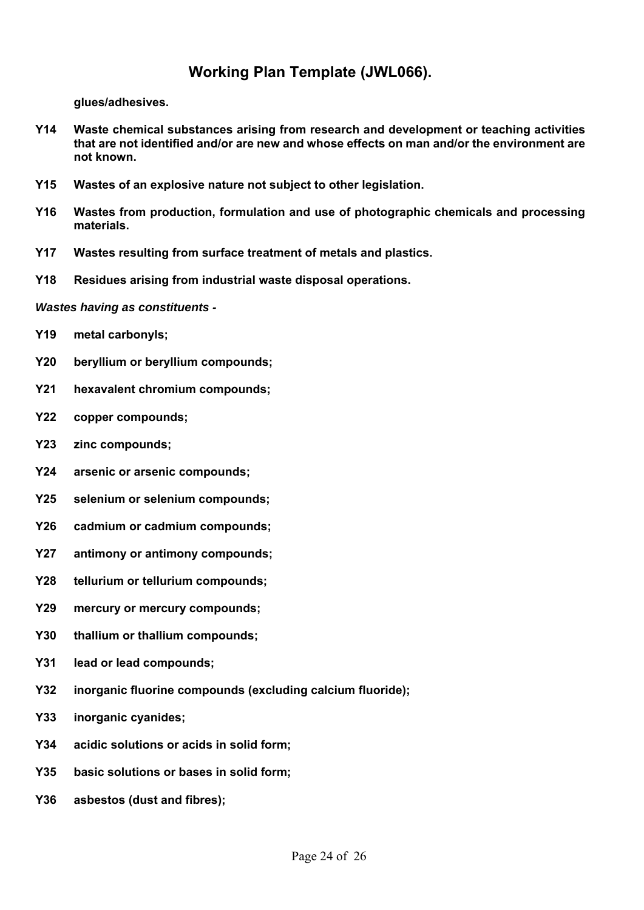**glues/adhesives.** 

- **Y14 Waste chemical substances arising from research and development or teaching activities that are not identified and/or are new and whose effects on man and/or the environment are not known.**
- **Y15 Wastes of an explosive nature not subject to other legislation.**
- **Y16 Wastes from production, formulation and use of photographic chemicals and processing materials.**
- **Y17 Wastes resulting from surface treatment of metals and plastics.**
- **Y18 Residues arising from industrial waste disposal operations.**

*Wastes having as constituents -*

- **Y19 metal carbonyls;**
- **Y20 beryllium or beryllium compounds;**
- **Y21 hexavalent chromium compounds;**
- **Y22 copper compounds;**
- **Y23 zinc compounds;**
- **Y24 arsenic or arsenic compounds;**
- **Y25 selenium or selenium compounds;**
- **Y26 cadmium or cadmium compounds;**
- **Y27 antimony or antimony compounds;**
- **Y28 tellurium or tellurium compounds;**
- **Y29 mercury or mercury compounds;**
- **Y30 thallium or thallium compounds;**
- **Y31 lead or lead compounds;**
- **Y32 inorganic fluorine compounds (excluding calcium fluoride);**
- **Y33 inorganic cyanides;**
- **Y34 acidic solutions or acids in solid form;**
- **Y35 basic solutions or bases in solid form;**
- **Y36 asbestos (dust and fibres);**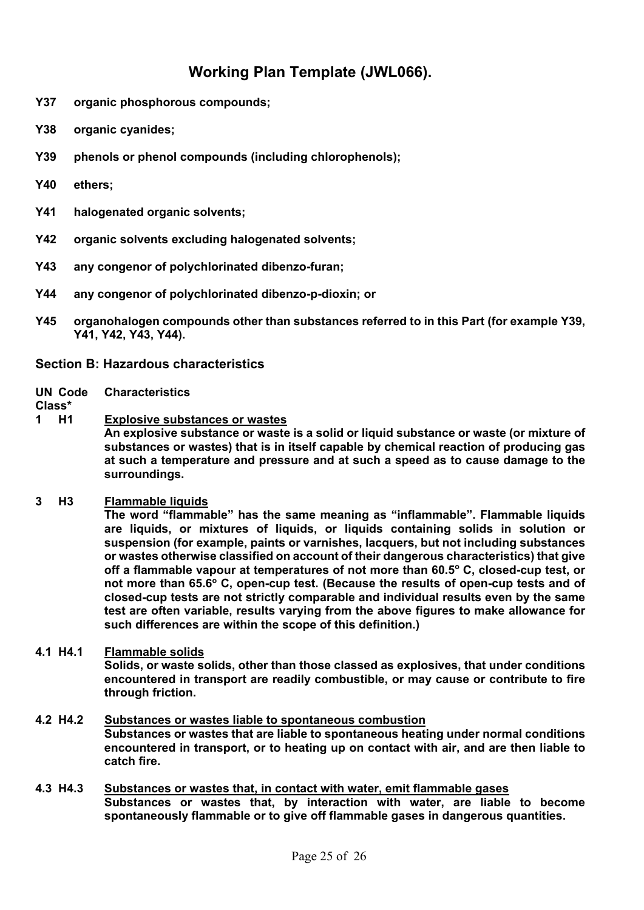- **Y37 organic phosphorous compounds;**
- **Y38 organic cyanides;**
- **Y39 phenols or phenol compounds (including chlorophenols);**
- **Y40 ethers;**
- **Y41 halogenated organic solvents;**
- **Y42 organic solvents excluding halogenated solvents;**
- **Y43 any congenor of polychlorinated dibenzo-furan;**
- **Y44 any congenor of polychlorinated dibenzo-p-dioxin; or**
- **Y45 organohalogen compounds other than substances referred to in this Part (for example Y39, Y41, Y42, Y43, Y44).**

#### **Section B: Hazardous characteristics**

#### **UN Code Characteristics**

#### **Class\***

**1 H1 Explosive substances or wastes An explosive substance or waste is a solid or liquid substance or waste (or mixture of substances or wastes) that is in itself capable by chemical reaction of producing gas at such a temperature and pressure and at such a speed as to cause damage to the surroundings.** 

#### **3 H3 Flammable liquids**

 **The word "flammable" has the same meaning as "inflammable". Flammable liquids are liquids, or mixtures of liquids, or liquids containing solids in solution or suspension (for example, paints or varnishes, lacquers, but not including substances or wastes otherwise classified on account of their dangerous characteristics) that give off a flammable vapour at temperatures of not more than 60.5o C, closed-cup test, or**  not more than 65.6° C, open-cup test. (Because the results of open-cup tests and of **closed-cup tests are not strictly comparable and individual results even by the same test are often variable, results varying from the above figures to make allowance for such differences are within the scope of this definition.)** 

- **4.1 H4.1 Flammable solids Solids, or waste solids, other than those classed as explosives, that under conditions encountered in transport are readily combustible, or may cause or contribute to fire through friction.**
- **4.2 H4.2 Substances or wastes liable to spontaneous combustion Substances or wastes that are liable to spontaneous heating under normal conditions encountered in transport, or to heating up on contact with air, and are then liable to catch fire.**
- **4.3 H4.3 Substances or wastes that, in contact with water, emit flammable gases Substances or wastes that, by interaction with water, are liable to become spontaneously flammable or to give off flammable gases in dangerous quantities.**